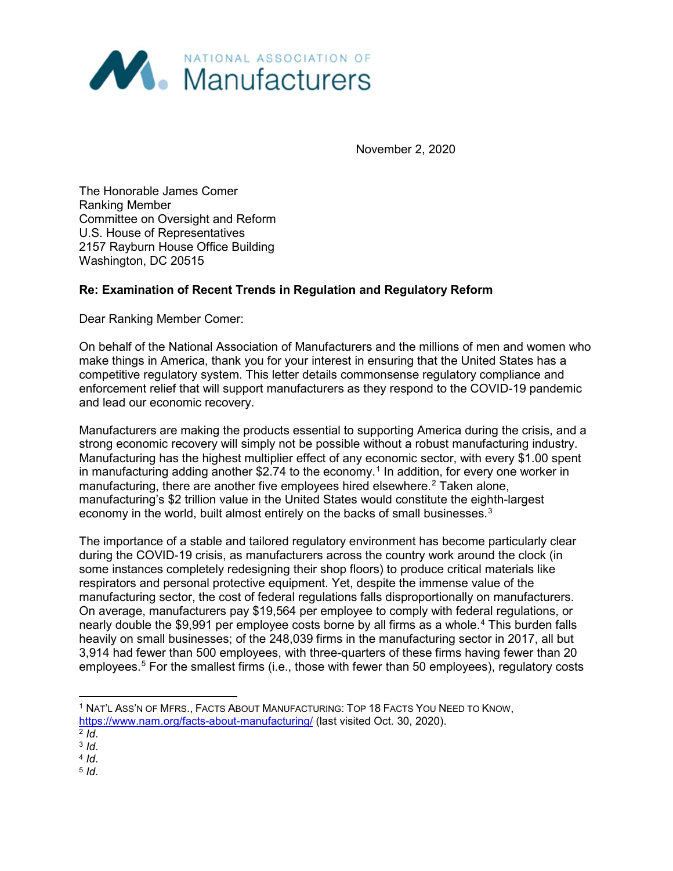

November 2, 2020

The Honorable James Comer Ranking Member Committee on Oversight and Reform U.S. House of Representatives 2157 Rayburn House Office Building Washington, DC 20515

### **Re: Examination of Recent Trends in Regulation and Regulatory Reform**

Dear Ranking Member Comer:

On behalf of the National Association of Manufacturers and the millions of men and women who make things in America, thank you for your interest in ensuring that the United States has a competitive regulatory system. This letter details commonsense regulatory compliance and enforcement relief that will support manufacturers as they respond to the COVID-19 pandemic and lead our economic recovery.

Manufacturers are making the products essential to supporting America during the crisis, and a strong economic recovery will simply not be possible without a robust manufacturing industry. Manufacturing has the highest multiplier effect of any economic sector, with every \$1.00 spent in manufacturing adding another \$2.74 to the economy.<sup>[1](#page-0-0)</sup> In addition, for every one worker in manufacturing, there are another five employees hired elsewhere.<sup>[2](#page-0-1)</sup> Taken alone, manufacturing's \$2 trillion value in the United States would constitute the eighth-largest economy in the world, built almost entirely on the backs of small businesses. $^3$  $^3$ 

The importance of a stable and tailored regulatory environment has become particularly clear during the COVID-19 crisis, as manufacturers across the country work around the clock (in some instances completely redesigning their shop floors) to produce critical materials like respirators and personal protective equipment. Yet, despite the immense value of the manufacturing sector, the cost of federal regulations falls disproportionally on manufacturers. On average, manufacturers pay \$19,564 per employee to comply with federal regulations, or nearly double the \$9,991 per employee costs borne by all firms as a whole.<sup>[4](#page-0-3)</sup> This burden falls heavily on small businesses; of the 248,039 firms in the manufacturing sector in 2017, all but 3,914 had fewer than 500 employees, with three-quarters of these firms having fewer than 20 employees.<sup>[5](#page-0-4)</sup> For the smallest firms (i.e., those with fewer than 50 employees), regulatory costs

<span id="page-0-4"></span>

<span id="page-0-0"></span> <sup>1</sup> NAT'L ASS'N OF MFRS., FACTS ABOUT MANUFACTURING: TOP 18 FACTS YOU NEED TO KNOW, <https://www.nam.org/facts-about-manufacturing/> (last visited Oct. 30, 2020).<br><sup>2</sup> /d.

<span id="page-0-1"></span>

<span id="page-0-3"></span><span id="page-0-2"></span><sup>2</sup> *Id*. 3 *Id*. 4 *Id*. 5 *Id*.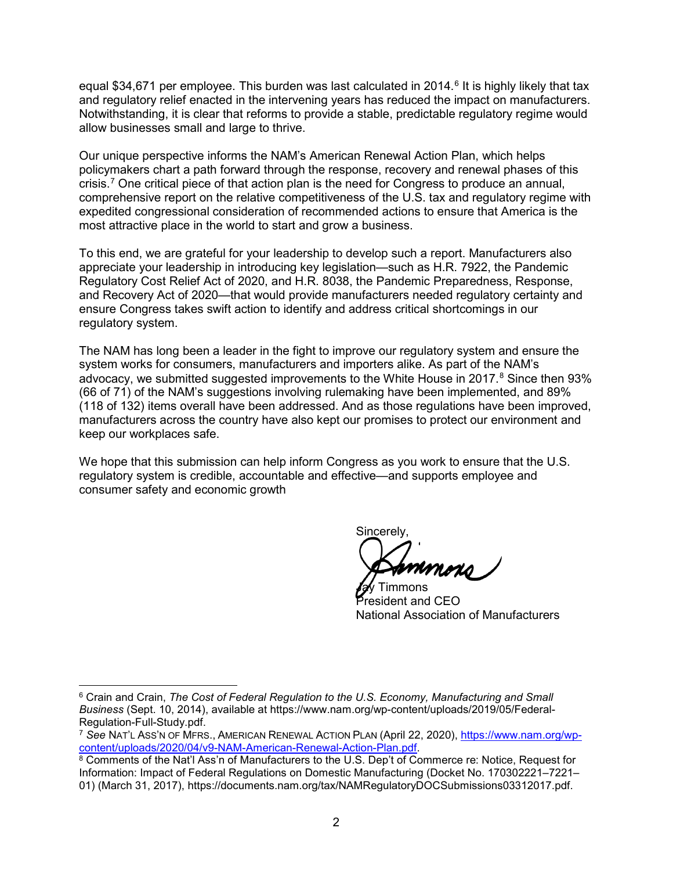equal \$34,[6](#page-1-0)71 per employee. This burden was last calculated in 2014.<sup>6</sup> It is highly likely that tax and regulatory relief enacted in the intervening years has reduced the impact on manufacturers. Notwithstanding, it is clear that reforms to provide a stable, predictable regulatory regime would allow businesses small and large to thrive.

Our unique perspective informs the NAM's American Renewal Action Plan, which helps policymakers chart a path forward through the response, recovery and renewal phases of this crisis.<sup>[7](#page-1-1)</sup> One critical piece of that action plan is the need for Congress to produce an annual, comprehensive report on the relative competitiveness of the U.S. tax and regulatory regime with expedited congressional consideration of recommended actions to ensure that America is the most attractive place in the world to start and grow a business.

To this end, we are grateful for your leadership to develop such a report. Manufacturers also appreciate your leadership in introducing key legislation—such as H.R. 7922, the Pandemic Regulatory Cost Relief Act of 2020, and H.R. 8038, the Pandemic Preparedness, Response, and Recovery Act of 2020—that would provide manufacturers needed regulatory certainty and ensure Congress takes swift action to identify and address critical shortcomings in our regulatory system.

The NAM has long been a leader in the fight to improve our regulatory system and ensure the system works for consumers, manufacturers and importers alike. As part of the NAM's advocacy, we submitted suggested improvements to the White House in 2017.<sup>[8](#page-1-2)</sup> Since then 93% (66 of 71) of the NAM's suggestions involving rulemaking have been implemented, and 89% (118 of 132) items overall have been addressed. And as those regulations have been improved, manufacturers across the country have also kept our promises to protect our environment and keep our workplaces safe.

We hope that this submission can help inform Congress as you work to ensure that the U.S. regulatory system is credible, accountable and effective—and supports employee and consumer safety and economic growth

Sincerely,

-immons President and CEO National Association of Manufacturers

<span id="page-1-0"></span> <sup>6</sup> Crain and Crain, *The Cost of Federal Regulation to the U.S. Economy, Manufacturing and Small Business* (Sept. 10, 2014), available at https://www.nam.org/wp-content/uploads/2019/05/Federal-Regulation-Full-Study.pdf.

<span id="page-1-1"></span><sup>&</sup>lt;sup>7</sup> See NAT'L Ass'N OF MFRS., AMERICAN RENEWAL ACTION PLAN (April 22, 2020), https://www.nam.org/wp-<br>content/uploads/2020/04/v9-NAM-American-Renewal-Action-Plan.pdf.

<span id="page-1-2"></span><sup>&</sup>lt;sup>8</sup> Comments of the Nat'l Ass'n of Manufacturers to the U.S. Dep't of Commerce re: Notice, Request for Information: Impact of Federal Regulations on Domestic Manufacturing (Docket No. 170302221–7221– 01) (March 31, 2017), https://documents.nam.org/tax/NAMRegulatoryDOCSubmissions03312017.pdf.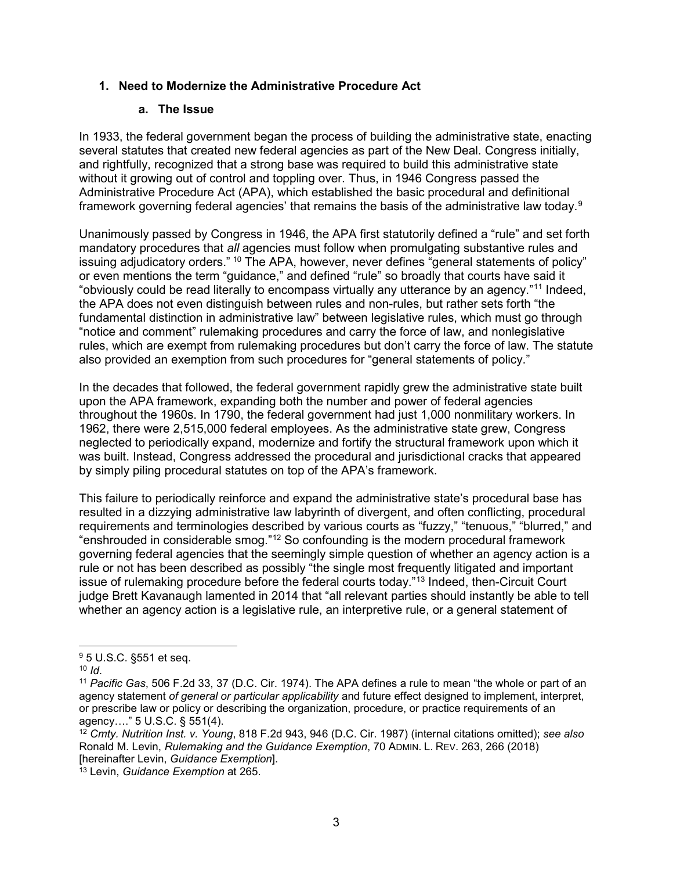### **1. Need to Modernize the Administrative Procedure Act**

#### **a. The Issue**

In 1933, the federal government began the process of building the administrative state, enacting several statutes that created new federal agencies as part of the New Deal. Congress initially, and rightfully, recognized that a strong base was required to build this administrative state without it growing out of control and toppling over. Thus, in 1946 Congress passed the Administrative Procedure Act (APA), which established the basic procedural and definitional framework governing federal agencies' that remains the basis of the administrative law today. $9$ 

Unanimously passed by Congress in 1946, the APA first statutorily defined a "rule" and set forth mandatory procedures that *all* agencies must follow when promulgating substantive rules and issuing adjudicatory orders." <sup>[10](#page-2-1)</sup> The APA, however, never defines "general statements of policy" or even mentions the term "guidance," and defined "rule" so broadly that courts have said it "obviously could be read literally to encompass virtually any utterance by an agency."[11](#page-2-2) Indeed, the APA does not even distinguish between rules and non-rules, but rather sets forth "the fundamental distinction in administrative law" between legislative rules, which must go through "notice and comment" rulemaking procedures and carry the force of law, and nonlegislative rules, which are exempt from rulemaking procedures but don't carry the force of law. The statute also provided an exemption from such procedures for "general statements of policy."

In the decades that followed, the federal government rapidly grew the administrative state built upon the APA framework, expanding both the number and power of federal agencies throughout the 1960s. In 1790, the federal government had just 1,000 nonmilitary workers. In 1962, there were 2,515,000 federal employees. As the administrative state grew, Congress neglected to periodically expand, modernize and fortify the structural framework upon which it was built. Instead, Congress addressed the procedural and jurisdictional cracks that appeared by simply piling procedural statutes on top of the APA's framework.

This failure to periodically reinforce and expand the administrative state's procedural base has resulted in a dizzying administrative law labyrinth of divergent, and often conflicting, procedural requirements and terminologies described by various courts as "fuzzy," "tenuous," "blurred," and "enshrouded in considerable smog."[12](#page-2-3) So confounding is the modern procedural framework governing federal agencies that the seemingly simple question of whether an agency action is a rule or not has been described as possibly "the single most frequently litigated and important issue of rulemaking procedure before the federal courts today."[13](#page-2-4) Indeed, then-Circuit Court judge Brett Kavanaugh lamented in 2014 that "all relevant parties should instantly be able to tell whether an agency action is a legislative rule, an interpretive rule, or a general statement of

<span id="page-2-1"></span><span id="page-2-0"></span> $95 \text{ U.S.C. }$ \$551 et seq.<br> $10 \text{ Id.}$ 

<span id="page-2-2"></span><sup>&</sup>lt;sup>11</sup> *Pacific Gas*, 506 F.2d 33, 37 (D.C. Cir. 1974). The APA defines a rule to mean "the whole or part of an agency statement *of general or particular applicability* and future effect designed to implement, interpret, or prescribe law or policy or describing the organization, procedure, or practice requirements of an agency…." 5 U.S.C. § 551(4).

<span id="page-2-3"></span><sup>12</sup> *Cmty. Nutrition Inst. v. Young*, 818 F.2d 943, 946 (D.C. Cir. 1987) (internal citations omitted); *see also* Ronald M. Levin, *Rulemaking and the Guidance Exemption*, 70 ADMIN. L. REV. 263, 266 (2018) [hereinafter Levin, *Guidance Exemption*].

<span id="page-2-4"></span><sup>13</sup> Levin, *Guidance Exemption* at 265.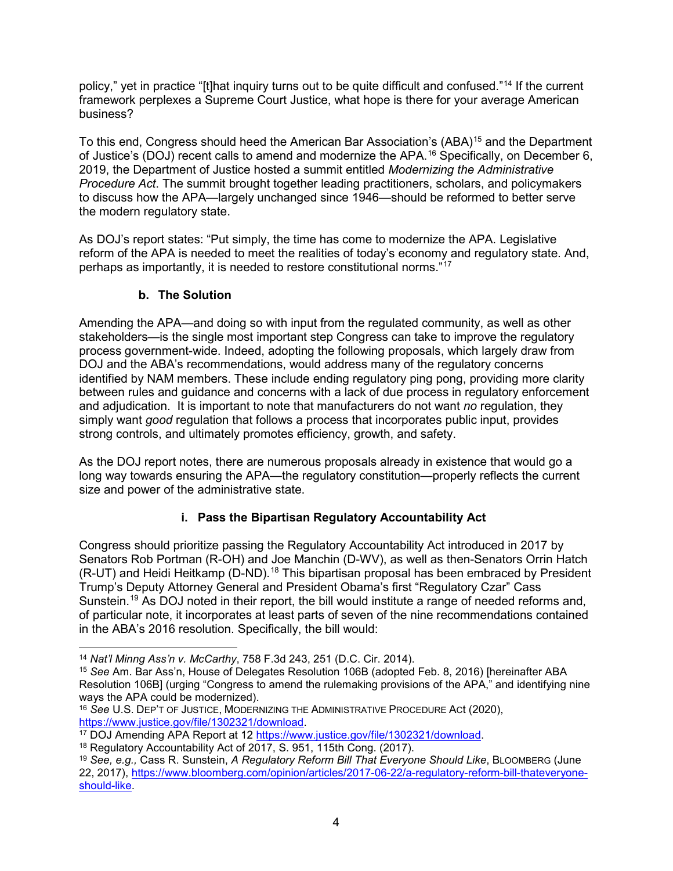policy," yet in practice "[t]hat inquiry turns out to be quite difficult and confused."<sup>[14](#page-3-0)</sup> If the current framework perplexes a Supreme Court Justice, what hope is there for your average American business?

To this end, Congress should heed the American Bar Association's (ABA)<sup>[15](#page-3-1)</sup> and the Department of Justice's (DOJ) recent calls to amend and modernize the APA.<sup>[16](#page-3-2)</sup> Specifically, on December 6, 2019, the Department of Justice hosted a summit entitled *Modernizing the Administrative Procedure Act*. The summit brought together leading practitioners, scholars, and policymakers to discuss how the APA—largely unchanged since 1946—should be reformed to better serve the modern regulatory state.

As DOJ's report states: "Put simply, the time has come to modernize the APA. Legislative reform of the APA is needed to meet the realities of today's economy and regulatory state. And, perhaps as importantly, it is needed to restore constitutional norms."[17](#page-3-3)

# **b. The Solution**

Amending the APA—and doing so with input from the regulated community, as well as other stakeholders—is the single most important step Congress can take to improve the regulatory process government-wide. Indeed, adopting the following proposals, which largely draw from DOJ and the ABA's recommendations, would address many of the regulatory concerns identified by NAM members. These include ending regulatory ping pong, providing more clarity between rules and guidance and concerns with a lack of due process in regulatory enforcement and adjudication. It is important to note that manufacturers do not want *no* regulation, they simply want *good* regulation that follows a process that incorporates public input, provides strong controls, and ultimately promotes efficiency, growth, and safety.

As the DOJ report notes, there are numerous proposals already in existence that would go a long way towards ensuring the APA—the regulatory constitution—properly reflects the current size and power of the administrative state.

# **i. Pass the Bipartisan Regulatory Accountability Act**

Congress should prioritize passing the Regulatory Accountability Act introduced in 2017 by Senators Rob Portman (R-OH) and Joe Manchin (D-WV), as well as then-Senators Orrin Hatch  $(R-UT)$  and Heidi Heitkamp  $(D-ND)$ .<sup>[18](#page-3-4)</sup> This bipartisan proposal has been embraced by President Trump's Deputy Attorney General and President Obama's first "Regulatory Czar" Cass Sunstein.<sup>[19](#page-3-5)</sup> As DOJ noted in their report, the bill would institute a range of needed reforms and, of particular note, it incorporates at least parts of seven of the nine recommendations contained in the ABA's 2016 resolution. Specifically, the bill would:

<span id="page-3-0"></span> <sup>14</sup> *Nat'l Minng Ass'n v. McCarthy*, 758 F.3d 243, 251 (D.C. Cir. 2014).

<span id="page-3-1"></span><sup>15</sup> *See* Am. Bar Ass'n, House of Delegates Resolution 106B (adopted Feb. 8, 2016) [hereinafter ABA Resolution 106B] (urging "Congress to amend the rulemaking provisions of the APA," and identifying nine ways the APA could be modernized).

<span id="page-3-2"></span><sup>&</sup>lt;sup>16</sup> See U.S. DEP'T OF JUSTICE, MODERNIZING THE ADMINISTRATIVE PROCEDURE ACt (2020), https://www.justice.gov/file/1302321/download.

<span id="page-3-3"></span><sup>&</sup>lt;sup>17</sup> DOJ Amending APA Report at 12 [https://www.justice.gov/file/1302321/download.](https://www.justice.gov/file/1302321/download)<br><sup>18</sup> Regulatory Accountability Act of 2017, S. 951, 115th Cong. (2017).

<span id="page-3-4"></span>

<span id="page-3-5"></span><sup>19</sup> *See, e.g.,* Cass R. Sunstein, *A Regulatory Reform Bill That Everyone Should Like*, BLOOMBERG (June 22, 2017), [https://www.bloomberg.com/opinion/articles/2017-06-22/a-regulatory-reform-bill-thateveryone](https://www.bloomberg.com/opinion/articles/2017-06-22/a-regulatory-reform-bill-thateveryone-should-like)[should-like.](https://www.bloomberg.com/opinion/articles/2017-06-22/a-regulatory-reform-bill-thateveryone-should-like)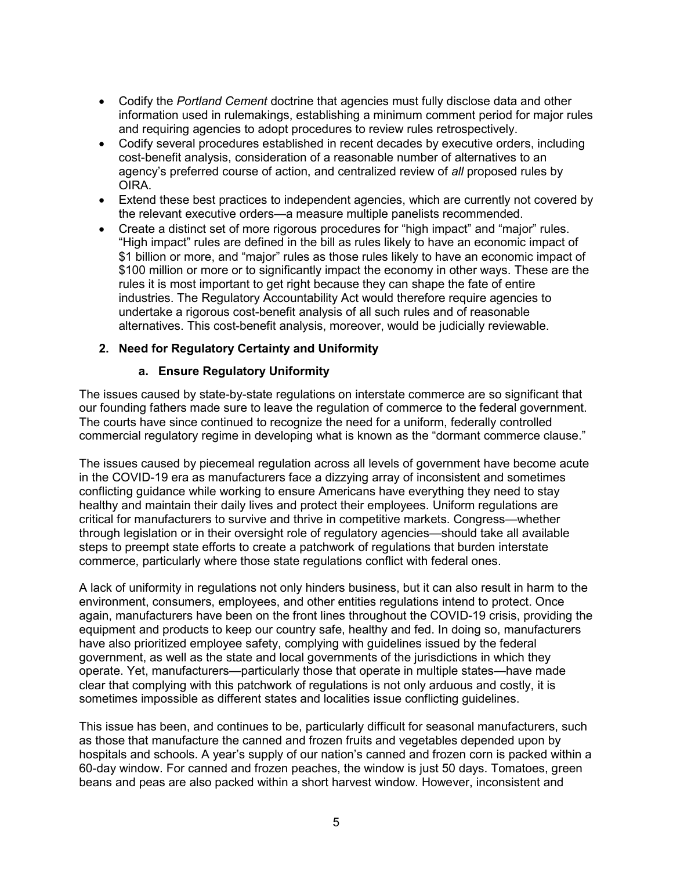- Codify the *Portland Cement* doctrine that agencies must fully disclose data and other information used in rulemakings, establishing a minimum comment period for major rules and requiring agencies to adopt procedures to review rules retrospectively.
- Codify several procedures established in recent decades by executive orders, including cost-benefit analysis, consideration of a reasonable number of alternatives to an agency's preferred course of action, and centralized review of *all* proposed rules by OIRA.
- Extend these best practices to independent agencies, which are currently not covered by the relevant executive orders—a measure multiple panelists recommended.
- Create a distinct set of more rigorous procedures for "high impact" and "major" rules. "High impact" rules are defined in the bill as rules likely to have an economic impact of \$1 billion or more, and "major" rules as those rules likely to have an economic impact of \$100 million or more or to significantly impact the economy in other ways. These are the rules it is most important to get right because they can shape the fate of entire industries. The Regulatory Accountability Act would therefore require agencies to undertake a rigorous cost-benefit analysis of all such rules and of reasonable alternatives. This cost-benefit analysis, moreover, would be judicially reviewable.

### **2. Need for Regulatory Certainty and Uniformity**

#### **a. Ensure Regulatory Uniformity**

The issues caused by state-by-state regulations on interstate commerce are so significant that our founding fathers made sure to leave the regulation of commerce to the federal government. The courts have since continued to recognize the need for a uniform, federally controlled commercial regulatory regime in developing what is known as the "dormant commerce clause."

The issues caused by piecemeal regulation across all levels of government have become acute in the COVID-19 era as manufacturers face a dizzying array of inconsistent and sometimes conflicting guidance while working to ensure Americans have everything they need to stay healthy and maintain their daily lives and protect their employees. Uniform regulations are critical for manufacturers to survive and thrive in competitive markets. Congress—whether through legislation or in their oversight role of regulatory agencies—should take all available steps to preempt state efforts to create a patchwork of regulations that burden interstate commerce, particularly where those state regulations conflict with federal ones.

A lack of uniformity in regulations not only hinders business, but it can also result in harm to the environment, consumers, employees, and other entities regulations intend to protect. Once again, manufacturers have been on the front lines throughout the COVID-19 crisis, providing the equipment and products to keep our country safe, healthy and fed. In doing so, manufacturers have also prioritized employee safety, complying with guidelines issued by the federal government, as well as the state and local governments of the jurisdictions in which they operate. Yet, manufacturers—particularly those that operate in multiple states—have made clear that complying with this patchwork of regulations is not only arduous and costly, it is sometimes impossible as different states and localities issue conflicting guidelines.

This issue has been, and continues to be, particularly difficult for seasonal manufacturers, such as those that manufacture the canned and frozen fruits and vegetables depended upon by hospitals and schools. A year's supply of our nation's canned and frozen corn is packed within a 60-day window. For canned and frozen peaches, the window is just 50 days. Tomatoes, green beans and peas are also packed within a short harvest window. However, inconsistent and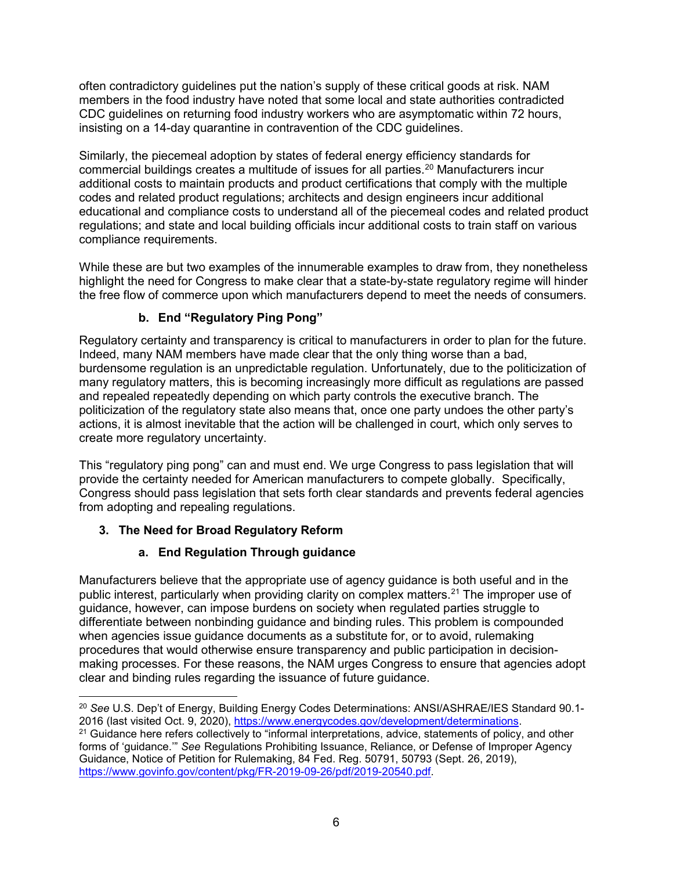often contradictory guidelines put the nation's supply of these critical goods at risk. NAM members in the food industry have noted that some local and state authorities contradicted CDC guidelines on returning food industry workers who are asymptomatic within 72 hours, insisting on a 14-day quarantine in contravention of the CDC guidelines.

Similarly, the piecemeal adoption by states of federal energy efficiency standards for commercial buildings creates a multitude of issues for all parties. [20](#page-5-0) Manufacturers incur additional costs to maintain products and product certifications that comply with the multiple codes and related product regulations; architects and design engineers incur additional educational and compliance costs to understand all of the piecemeal codes and related product regulations; and state and local building officials incur additional costs to train staff on various compliance requirements.

While these are but two examples of the innumerable examples to draw from, they nonetheless highlight the need for Congress to make clear that a state-by-state regulatory regime will hinder the free flow of commerce upon which manufacturers depend to meet the needs of consumers.

# **b. End "Regulatory Ping Pong"**

Regulatory certainty and transparency is critical to manufacturers in order to plan for the future. Indeed, many NAM members have made clear that the only thing worse than a bad, burdensome regulation is an unpredictable regulation. Unfortunately, due to the politicization of many regulatory matters, this is becoming increasingly more difficult as regulations are passed and repealed repeatedly depending on which party controls the executive branch. The politicization of the regulatory state also means that, once one party undoes the other party's actions, it is almost inevitable that the action will be challenged in court, which only serves to create more regulatory uncertainty.

This "regulatory ping pong" can and must end. We urge Congress to pass legislation that will provide the certainty needed for American manufacturers to compete globally. Specifically, Congress should pass legislation that sets forth clear standards and prevents federal agencies from adopting and repealing regulations.

# **3. The Need for Broad Regulatory Reform**

# **a. End Regulation Through guidance**

Manufacturers believe that the appropriate use of agency guidance is both useful and in the public interest, particularly when providing clarity on complex matters.<sup>[21](#page-5-1)</sup> The improper use of guidance, however, can impose burdens on society when regulated parties struggle to differentiate between nonbinding guidance and binding rules. This problem is compounded when agencies issue guidance documents as a substitute for, or to avoid, rulemaking procedures that would otherwise ensure transparency and public participation in decisionmaking processes. For these reasons, the NAM urges Congress to ensure that agencies adopt clear and binding rules regarding the issuance of future guidance.

<span id="page-5-0"></span><sup>&</sup>lt;sup>20</sup> See U.S. Dep't of Energy, Building Energy Codes Determinations: ANSI/ASHRAE/IES Standard 90.1-<br>2016 (last visited Oct. 9, 2020), https://www.energycodes.gov/development/determinations.

<span id="page-5-1"></span><sup>&</sup>lt;sup>21</sup> Guidance here refers collectively to "informal interpretations, advice, statements of policy, and other forms of 'guidance.'" *See* Regulations Prohibiting Issuance, Reliance, or Defense of Improper Agency Guidance, Notice of Petition for Rulemaking, 84 Fed. Reg. 50791, 50793 (Sept. 26, 2019), [https://www.govinfo.gov/content/pkg/FR-2019-09-26/pdf/2019-20540.pdf.](https://www.govinfo.gov/content/pkg/FR-2019-09-26/pdf/2019-20540.pdf)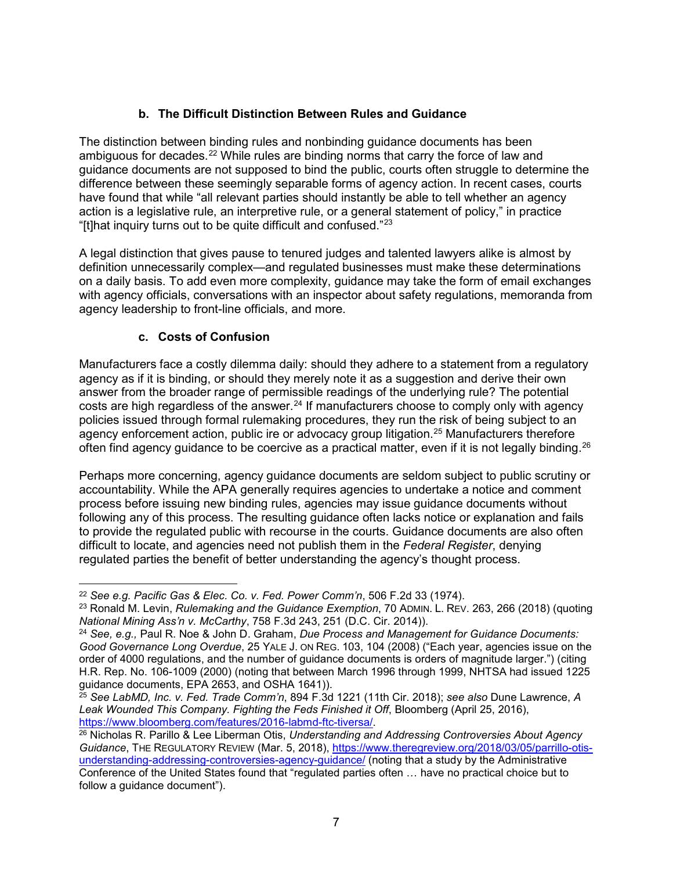# **b. The Difficult Distinction Between Rules and Guidance**

The distinction between binding rules and nonbinding guidance documents has been ambiguous for decades.<sup>[22](#page-6-0)</sup> While rules are binding norms that carry the force of law and guidance documents are not supposed to bind the public, courts often struggle to determine the difference between these seemingly separable forms of agency action. In recent cases, courts have found that while "all relevant parties should instantly be able to tell whether an agency action is a legislative rule, an interpretive rule, or a general statement of policy," in practice "[t]hat inquiry turns out to be quite difficult and confused." $23$ 

A legal distinction that gives pause to tenured judges and talented lawyers alike is almost by definition unnecessarily complex—and regulated businesses must make these determinations on a daily basis. To add even more complexity, guidance may take the form of email exchanges with agency officials, conversations with an inspector about safety regulations, memoranda from agency leadership to front-line officials, and more.

## **c. Costs of Confusion**

Manufacturers face a costly dilemma daily: should they adhere to a statement from a regulatory agency as if it is binding, or should they merely note it as a suggestion and derive their own answer from the broader range of permissible readings of the underlying rule? The potential costs are high regardless of the answer.<sup>24</sup> If manufacturers choose to comply only with agency policies issued through formal rulemaking procedures, they run the risk of being subject to an agency enforcement action, public ire or advocacy group litigation.<sup>[25](#page-6-3)</sup> Manufacturers therefore often find agency guidance to be coercive as a practical matter, even if it is not legally binding. $^{26}$  $^{26}$  $^{26}$ 

Perhaps more concerning, agency guidance documents are seldom subject to public scrutiny or accountability. While the APA generally requires agencies to undertake a notice and comment process before issuing new binding rules, agencies may issue guidance documents without following any of this process. The resulting guidance often lacks notice or explanation and fails to provide the regulated public with recourse in the courts. Guidance documents are also often difficult to locate, and agencies need not publish them in the *Federal Register*, denying regulated parties the benefit of better understanding the agency's thought process.

<span id="page-6-0"></span> <sup>22</sup> *See e.g. Pacific Gas & Elec. Co. v. Fed. Power Comm'n*, 506 F.2d 33 (1974).

<span id="page-6-1"></span><sup>23</sup> Ronald M. Levin, *Rulemaking and the Guidance Exemption*, 70 ADMIN. L. REV. 263, 266 (2018) (quoting *National Mining Ass'n v. McCarthy*, 758 F.3d 243, 251 (D.C. Cir. 2014)).

<span id="page-6-2"></span><sup>24</sup> *See, e.g.,* Paul R. Noe & John D. Graham, *Due Process and Management for Guidance Documents: Good Governance Long Overdue*, 25 YALE J. ON REG. 103, 104 (2008) ("Each year, agencies issue on the order of 4000 regulations, and the number of guidance documents is orders of magnitude larger.") (citing H.R. Rep. No. 106-1009 (2000) (noting that between March 1996 through 1999, NHTSA had issued 1225 guidance documents, EPA 2653, and OSHA 1641)).

<span id="page-6-3"></span><sup>25</sup> *See LabMD, Inc. v. Fed. Trade Comm'n*, 894 F.3d 1221 (11th Cir. 2018); *see also* Dune Lawrence, *A*  Leak Wounded This Company. Fighting the Feds Finished it Off, Bloomberg (April 25, 2016), https://www.bloomberg.com/features/2016-labmd-ftc-tiversa/.

<span id="page-6-4"></span><sup>&</sup>lt;sup>26</sup> Nicholas R. Parillo & Lee Liberman Otis, *Understanding and Addressing Controversies About Agency Guidance*, THE REGULATORY REVIEW (Mar. 5, 2018), [https://www.theregreview.org/2018/03/05/parrillo-otis](https://www.theregreview.org/2018/03/05/parrillo-otis-understanding-addressing-controversies-agency-guidance/)[understanding-addressing-controversies-agency-guidance/](https://www.theregreview.org/2018/03/05/parrillo-otis-understanding-addressing-controversies-agency-guidance/) (noting that a study by the Administrative Conference of the United States found that "regulated parties often … have no practical choice but to follow a guidance document").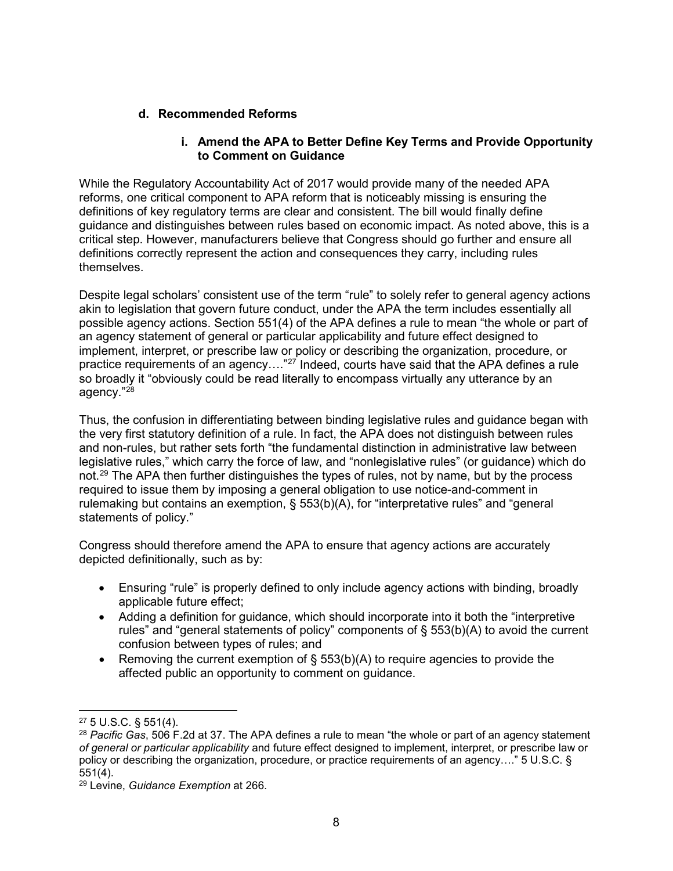#### **d. Recommended Reforms**

#### **i. Amend the APA to Better Define Key Terms and Provide Opportunity to Comment on Guidance**

While the Regulatory Accountability Act of 2017 would provide many of the needed APA reforms, one critical component to APA reform that is noticeably missing is ensuring the definitions of key regulatory terms are clear and consistent. The bill would finally define guidance and distinguishes between rules based on economic impact. As noted above, this is a critical step. However, manufacturers believe that Congress should go further and ensure all definitions correctly represent the action and consequences they carry, including rules themselves.

Despite legal scholars' consistent use of the term "rule" to solely refer to general agency actions akin to legislation that govern future conduct, under the APA the term includes essentially all possible agency actions. Section 551(4) of the APA defines a rule to mean "the whole or part of an agency statement of general or particular applicability and future effect designed to implement, interpret, or prescribe law or policy or describing the organization, procedure, or practice requirements of an agency…."[27](#page-7-0) Indeed, courts have said that the APA defines a rule so broadly it "obviously could be read literally to encompass virtually any utterance by an agency."[28](#page-7-1)

Thus, the confusion in differentiating between binding legislative rules and guidance began with the very first statutory definition of a rule. In fact, the APA does not distinguish between rules and non-rules, but rather sets forth "the fundamental distinction in administrative law between legislative rules," which carry the force of law, and "nonlegislative rules" (or guidance) which do not.<sup>[29](#page-7-2)</sup> The APA then further distinguishes the types of rules, not by name, but by the process required to issue them by imposing a general obligation to use notice-and-comment in rulemaking but contains an exemption, § 553(b)(A), for "interpretative rules" and "general statements of policy."

Congress should therefore amend the APA to ensure that agency actions are accurately depicted definitionally, such as by:

- Ensuring "rule" is properly defined to only include agency actions with binding, broadly applicable future effect;
- Adding a definition for guidance, which should incorporate into it both the "interpretive rules" and "general statements of policy" components of  $\S$  553(b)(A) to avoid the current confusion between types of rules; and
- Removing the current exemption of  $\S$  553(b)(A) to require agencies to provide the affected public an opportunity to comment on guidance.

<span id="page-7-0"></span> <sup>27</sup> 5 U.S.C. § 551(4).

<span id="page-7-1"></span><sup>28</sup> *Pacific Gas*, 506 F.2d at 37. The APA defines a rule to mean "the whole or part of an agency statement *of general or particular applicability* and future effect designed to implement, interpret, or prescribe law or policy or describing the organization, procedure, or practice requirements of an agency…." 5 U.S.C. § 551(4).

<span id="page-7-2"></span><sup>29</sup> Levine, *Guidance Exemption* at 266.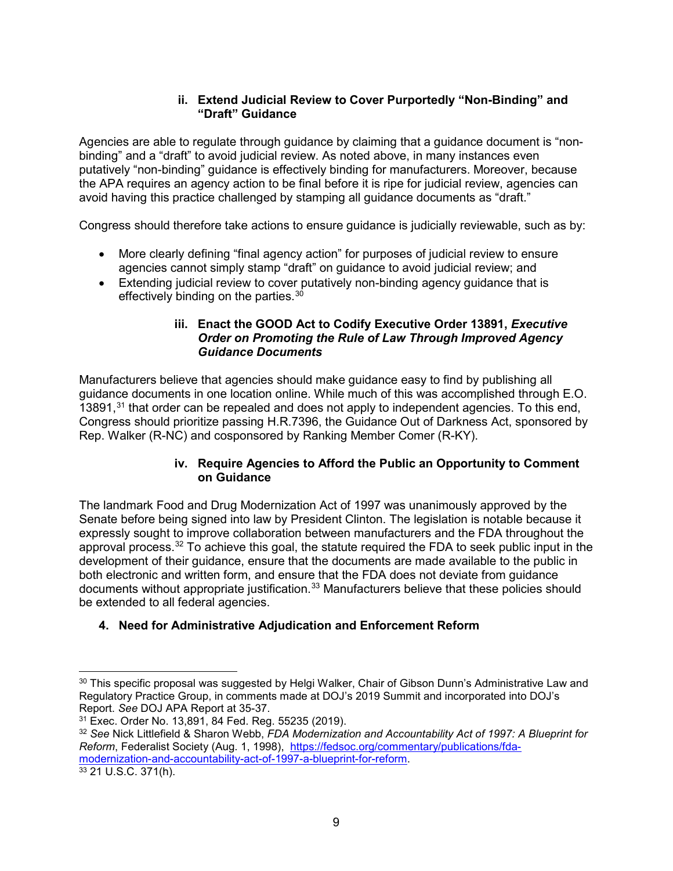#### **ii. Extend Judicial Review to Cover Purportedly "Non-Binding" and "Draft" Guidance**

Agencies are able to regulate through guidance by claiming that a guidance document is "nonbinding" and a "draft" to avoid judicial review. As noted above, in many instances even putatively "non-binding" guidance is effectively binding for manufacturers. Moreover, because the APA requires an agency action to be final before it is ripe for judicial review, agencies can avoid having this practice challenged by stamping all guidance documents as "draft."

Congress should therefore take actions to ensure guidance is judicially reviewable, such as by:

- More clearly defining "final agency action" for purposes of judicial review to ensure agencies cannot simply stamp "draft" on guidance to avoid judicial review; and
- Extending judicial review to cover putatively non-binding agency guidance that is effectively binding on the parties.<sup>[30](#page-8-0)</sup>

#### **iii. Enact the GOOD Act to Codify Executive Order 13891,** *Executive Order on Promoting the Rule of Law Through Improved Agency Guidance Documents*

Manufacturers believe that agencies should make guidance easy to find by publishing all guidance documents in one location online. While much of this was accomplished through E.O. 13891, $31$  that order can be repealed and does not apply to independent agencies. To this end, Congress should prioritize passing H.R.7396, the Guidance Out of Darkness Act, sponsored by Rep. Walker (R-NC) and cosponsored by Ranking Member Comer (R-KY).

### **iv. Require Agencies to Afford the Public an Opportunity to Comment on Guidance**

The landmark Food and Drug Modernization Act of 1997 was unanimously approved by the Senate before being signed into law by President Clinton. The legislation is notable because it expressly sought to improve collaboration between manufacturers and the FDA throughout the approval process. $^{32}$  $^{32}$  $^{32}$  To achieve this goal, the statute required the FDA to seek public input in the development of their guidance, ensure that the documents are made available to the public in both electronic and written form, and ensure that the FDA does not deviate from guidance documents without appropriate justification.<sup>[33](#page-8-3)</sup> Manufacturers believe that these policies should be extended to all federal agencies.

## **4. Need for Administrative Adjudication and Enforcement Reform**

<span id="page-8-0"></span><sup>&</sup>lt;sup>30</sup> This specific proposal was suggested by Helgi Walker, Chair of Gibson Dunn's Administrative Law and Regulatory Practice Group, in comments made at DOJ's 2019 Summit and incorporated into DOJ's Report. *See* DOJ APA Report at 35-37.

<span id="page-8-1"></span>

<span id="page-8-2"></span><sup>32</sup> See Nick Littlefield & Sharon Webb, *FDA Modernization and Accountability Act of 1997: A Blueprint for Reform*, Federalist Society (Aug. 1, 1998), [https://fedsoc.org/commentary/publications/fda](https://fedsoc.org/commentary/publications/fda-modernization-and-accountability-act-of-1997-a-blueprint-for-reform)[modernization-and-accountability-act-of-1997-a-blueprint-for-reform.](https://fedsoc.org/commentary/publications/fda-modernization-and-accountability-act-of-1997-a-blueprint-for-reform)<br><sup>33</sup> 21 U.S.C. 371(h).

<span id="page-8-3"></span>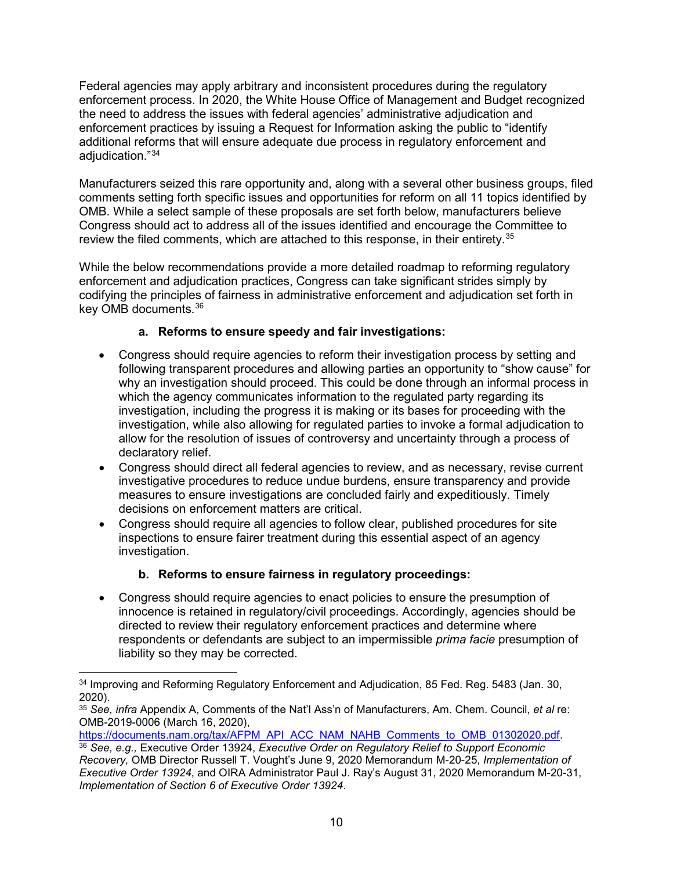Federal agencies may apply arbitrary and inconsistent procedures during the regulatory enforcement process. In 2020, the White House Office of Management and Budget recognized the need to address the issues with federal agencies' administrative adjudication and enforcement practices by issuing a Request for Information asking the public to "identify additional reforms that will ensure adequate due process in regulatory enforcement and adiudication."<sup>[34](#page-9-0)</sup>

Manufacturers seized this rare opportunity and, along with a several other business groups, filed comments setting forth specific issues and opportunities for reform on all 11 topics identified by OMB. While a select sample of these proposals are set forth below, manufacturers believe Congress should act to address all of the issues identified and encourage the Committee to review the filed comments, which are attached to this response, in their entirety. [35](#page-9-1)

While the below recommendations provide a more detailed roadmap to reforming regulatory enforcement and adjudication practices, Congress can take significant strides simply by codifying the principles of fairness in administrative enforcement and adjudication set forth in key OMB documents.[36](#page-9-2)

## **a. Reforms to ensure speedy and fair investigations:**

- Congress should require agencies to reform their investigation process by setting and following transparent procedures and allowing parties an opportunity to "show cause" for why an investigation should proceed. This could be done through an informal process in which the agency communicates information to the regulated party regarding its investigation, including the progress it is making or its bases for proceeding with the investigation, while also allowing for regulated parties to invoke a formal adjudication to allow for the resolution of issues of controversy and uncertainty through a process of declaratory relief.
- Congress should direct all federal agencies to review, and as necessary, revise current investigative procedures to reduce undue burdens, ensure transparency and provide measures to ensure investigations are concluded fairly and expeditiously. Timely decisions on enforcement matters are critical.
- Congress should require all agencies to follow clear, published procedures for site inspections to ensure fairer treatment during this essential aspect of an agency investigation.

# **b. Reforms to ensure fairness in regulatory proceedings:**

• Congress should require agencies to enact policies to ensure the presumption of innocence is retained in regulatory/civil proceedings. Accordingly, agencies should be directed to review their regulatory enforcement practices and determine where respondents or defendants are subject to an impermissible *prima facie* presumption of liability so they may be corrected.

[https://documents.nam.org/tax/AFPM\\_API\\_ACC\\_NAM\\_NAHB\\_Comments\\_to\\_OMB\\_01302020.pdf.](https://documents.nam.org/tax/AFPM_API_ACC_NAM_NAHB_Comments_to_OMB_01302020.pdf)

<span id="page-9-0"></span><sup>&</sup>lt;sup>34</sup> Improving and Reforming Regulatory Enforcement and Adjudication, 85 Fed. Reg. 5483 (Jan. 30, 2020).

<span id="page-9-1"></span><sup>35</sup> *See, infra* Appendix A, Comments of the Nat'l Ass'n of Manufacturers, Am. Chem. Council, *et al* re: OMB-2019-0006 (March 16, 2020),

<span id="page-9-2"></span><sup>36</sup> *See, e.g.,* Executive Order 13924, *Executive Order on Regulatory Relief to Support Economic Recovery,* OMB Director Russell T. Vought's June 9, 2020 Memorandum M-20-25, *Implementation of Executive Order 13924*, and OIRA Administrator Paul J. Ray's August 31, 2020 Memorandum M-20-31, *Implementation of Section 6 of Executive Order 13924*.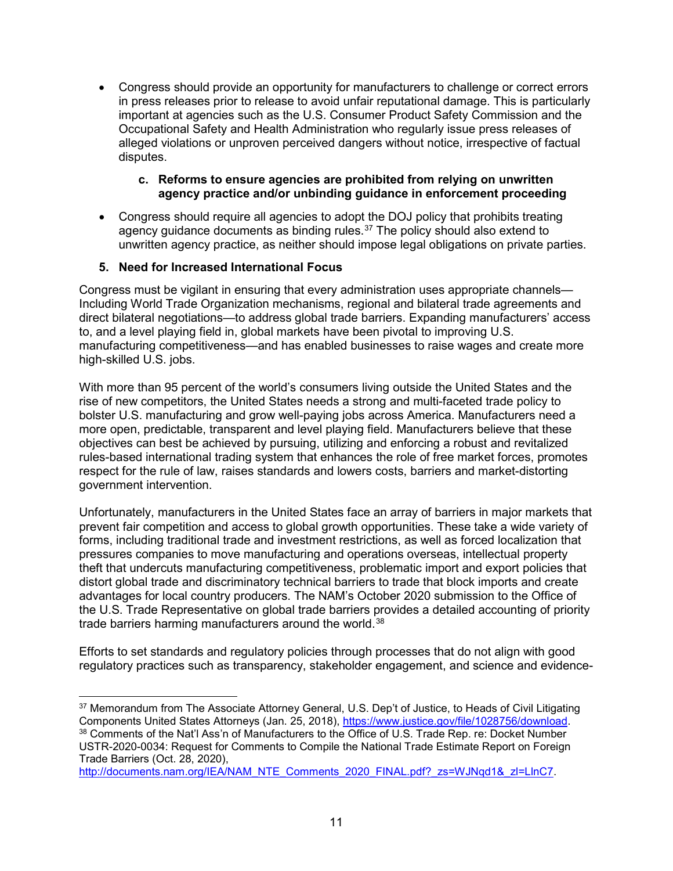• Congress should provide an opportunity for manufacturers to challenge or correct errors in press releases prior to release to avoid unfair reputational damage. This is particularly important at agencies such as the U.S. Consumer Product Safety Commission and the Occupational Safety and Health Administration who regularly issue press releases of alleged violations or unproven perceived dangers without notice, irrespective of factual disputes.

#### **c. Reforms to ensure agencies are prohibited from relying on unwritten agency practice and/or unbinding guidance in enforcement proceeding**

• Congress should require all agencies to adopt the DOJ policy that prohibits treating agency guidance documents as binding rules.<sup>[37](#page-10-0)</sup> The policy should also extend to unwritten agency practice, as neither should impose legal obligations on private parties.

### **5. Need for Increased International Focus**

Congress must be vigilant in ensuring that every administration uses appropriate channels— Including World Trade Organization mechanisms, regional and bilateral trade agreements and direct bilateral negotiations—to address global trade barriers. Expanding manufacturers' access to, and a level playing field in, global markets have been pivotal to improving U.S. manufacturing competitiveness—and has enabled businesses to raise wages and create more high-skilled U.S. jobs.

With more than 95 percent of the world's consumers living outside the United States and the rise of new competitors, the United States needs a strong and multi-faceted trade policy to bolster U.S. manufacturing and grow well-paying jobs across America. Manufacturers need a more open, predictable, transparent and level playing field. Manufacturers believe that these objectives can best be achieved by pursuing, utilizing and enforcing a robust and revitalized rules-based international trading system that enhances the role of free market forces, promotes respect for the rule of law, raises standards and lowers costs, barriers and market-distorting government intervention.

Unfortunately, manufacturers in the United States face an array of barriers in major markets that prevent fair competition and access to global growth opportunities. These take a wide variety of forms, including traditional trade and investment restrictions, as well as forced localization that pressures companies to move manufacturing and operations overseas, intellectual property theft that undercuts manufacturing competitiveness, problematic import and export policies that distort global trade and discriminatory technical barriers to trade that block imports and create advantages for local country producers. The NAM's October 2020 submission to the Office of the U.S. Trade Representative on global trade barriers provides a detailed accounting of priority trade barriers harming manufacturers around the world.<sup>[38](#page-10-1)</sup>

Efforts to set standards and regulatory policies through processes that do not align with good regulatory practices such as transparency, stakeholder engagement, and science and evidence-

<span id="page-10-1"></span><span id="page-10-0"></span><sup>&</sup>lt;sup>37</sup> Memorandum from The Associate Attorney General, U.S. Dep't of Justice, to Heads of Civil Litigating<br>Components United States Attorneys (Jan. 25, 2018), https://www.justice.gov/file/1028756/download. 38 Comments of the Nat'l Ass'n of Manufacturers to the Office of U.S. Trade Rep. re: Docket Number USTR-2020-0034: Request for Comments to Compile the National Trade Estimate Report on Foreign Trade Barriers (Oct. 28, 2020),

[http://documents.nam.org/IEA/NAM\\_NTE\\_Comments\\_2020\\_FINAL.pdf?\\_zs=WJNqd1&\\_zl=LlnC7.](http://documents.nam.org/IEA/NAM_NTE_Comments_2020_FINAL.pdf?_zs=WJNqd1&_zl=LlnC7)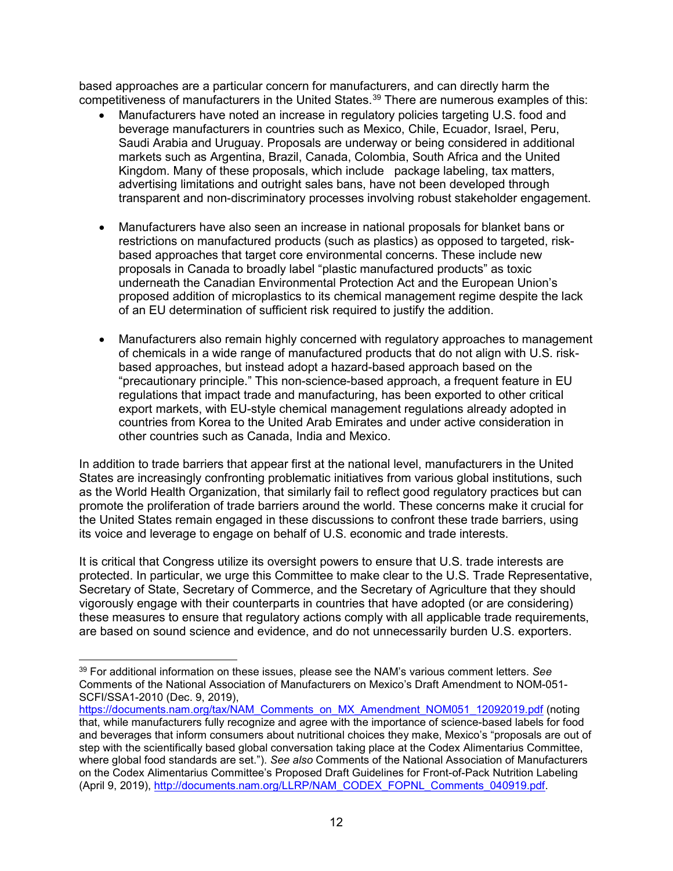based approaches are a particular concern for manufacturers, and can directly harm the competitiveness of manufacturers in the United States. [39](#page-11-0) There are numerous examples of this:

- Manufacturers have noted an increase in regulatory policies targeting U.S. food and beverage manufacturers in countries such as Mexico, Chile, Ecuador, Israel, Peru, Saudi Arabia and Uruguay. Proposals are underway or being considered in additional markets such as Argentina, Brazil, Canada, Colombia, South Africa and the United Kingdom. Many of these proposals, which include package labeling, tax matters, advertising limitations and outright sales bans, have not been developed through transparent and non-discriminatory processes involving robust stakeholder engagement.
- Manufacturers have also seen an increase in national proposals for blanket bans or restrictions on manufactured products (such as plastics) as opposed to targeted, riskbased approaches that target core environmental concerns. These include new proposals in Canada to broadly label "plastic manufactured products" as toxic underneath the Canadian Environmental Protection Act and the European Union's proposed addition of microplastics to its chemical management regime despite the lack of an EU determination of sufficient risk required to justify the addition.
- Manufacturers also remain highly concerned with regulatory approaches to management of chemicals in a wide range of manufactured products that do not align with U.S. riskbased approaches, but instead adopt a hazard-based approach based on the "precautionary principle." This non-science-based approach, a frequent feature in EU regulations that impact trade and manufacturing, has been exported to other critical export markets, with EU-style chemical management regulations already adopted in countries from Korea to the United Arab Emirates and under active consideration in other countries such as Canada, India and Mexico.

In addition to trade barriers that appear first at the national level, manufacturers in the United States are increasingly confronting problematic initiatives from various global institutions, such as the World Health Organization, that similarly fail to reflect good regulatory practices but can promote the proliferation of trade barriers around the world. These concerns make it crucial for the United States remain engaged in these discussions to confront these trade barriers, using its voice and leverage to engage on behalf of U.S. economic and trade interests.

It is critical that Congress utilize its oversight powers to ensure that U.S. trade interests are protected. In particular, we urge this Committee to make clear to the U.S. Trade Representative, Secretary of State, Secretary of Commerce, and the Secretary of Agriculture that they should vigorously engage with their counterparts in countries that have adopted (or are considering) these measures to ensure that regulatory actions comply with all applicable trade requirements, are based on sound science and evidence, and do not unnecessarily burden U.S. exporters.

<span id="page-11-0"></span> <sup>39</sup> For additional information on these issues, please see the NAM's various comment letters. *See*  Comments of the National Association of Manufacturers on Mexico's Draft Amendment to NOM-051- SCFI/SSA1-2010 (Dec. 9, 2019),

[https://documents.nam.org/tax/NAM\\_Comments\\_on\\_MX\\_Amendment\\_NOM051\\_12092019.pdf](https://documents.nam.org/tax/NAM_Comments_on_MX_Amendment_NOM051_12092019.pdf) (noting that, while manufacturers fully recognize and agree with the importance of science-based labels for food and beverages that inform consumers about nutritional choices they make, Mexico's "proposals are out of step with the scientifically based global conversation taking place at the Codex Alimentarius Committee, where global food standards are set."). *See also* Comments of the National Association of Manufacturers on the Codex Alimentarius Committee's Proposed Draft Guidelines for Front-of-Pack Nutrition Labeling (April 9, 2019), [http://documents.nam.org/LLRP/NAM\\_CODEX\\_FOPNL\\_Comments\\_040919.pdf.](http://documents.nam.org/LLRP/NAM_CODEX_FOPNL_Comments_040919.pdf)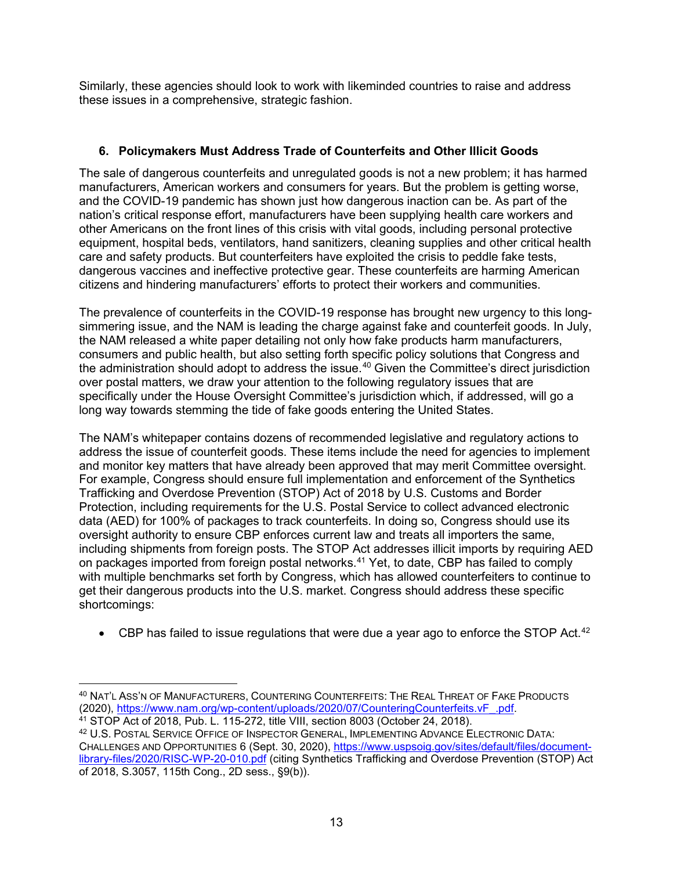Similarly, these agencies should look to work with likeminded countries to raise and address these issues in a comprehensive, strategic fashion.

# **6. Policymakers Must Address Trade of Counterfeits and Other Illicit Goods**

The sale of dangerous counterfeits and unregulated goods is not a new problem; it has harmed manufacturers, American workers and consumers for years. But the problem is getting worse, and the COVID-19 pandemic has shown just how dangerous inaction can be. As part of the nation's critical response effort, manufacturers have been supplying health care workers and other Americans on the front lines of this crisis with vital goods, including personal protective equipment, hospital beds, ventilators, hand sanitizers, cleaning supplies and other critical health care and safety products. But counterfeiters have exploited the crisis to peddle fake tests, dangerous vaccines and ineffective protective gear. These counterfeits are harming American citizens and hindering manufacturers' efforts to protect their workers and communities.

The prevalence of counterfeits in the COVID-19 response has brought new urgency to this longsimmering issue, and the NAM is leading the charge against fake and counterfeit goods. In July, the NAM released a white paper detailing not only how fake products harm manufacturers, consumers and public health, but also setting forth specific policy solutions that Congress and the administration should adopt to address the issue.<sup>[40](#page-12-0)</sup> Given the Committee's direct jurisdiction over postal matters, we draw your attention to the following regulatory issues that are specifically under the House Oversight Committee's jurisdiction which, if addressed, will go a long way towards stemming the tide of fake goods entering the United States.

The NAM's whitepaper contains dozens of recommended legislative and regulatory actions to address the issue of counterfeit goods. These items include the need for agencies to implement and monitor key matters that have already been approved that may merit Committee oversight. For example, Congress should ensure full implementation and enforcement of the Synthetics Trafficking and Overdose Prevention (STOP) Act of 2018 by U.S. Customs and Border Protection, including requirements for the U.S. Postal Service to collect advanced electronic data (AED) for 100% of packages to track counterfeits. In doing so, Congress should use its oversight authority to ensure CBP enforces current law and treats all importers the same, including shipments from foreign posts. The STOP Act addresses illicit imports by requiring AED on packages imported from foreign postal networks. [41](#page-12-1) Yet, to date, CBP has failed to comply with multiple benchmarks set forth by Congress, which has allowed counterfeiters to continue to get their dangerous products into the U.S. market. Congress should address these specific shortcomings:

 $\bullet$  CBP has failed to issue regulations that were due a year ago to enforce the STOP Act.<sup>[42](#page-12-2)</sup>

<span id="page-12-0"></span> <sup>40</sup> NAT'L ASS'N OF MANUFACTURERS, COUNTERING COUNTERFEITS: THE REAL THREAT OF FAKE PRODUCTS (2020), https://www.nam.org/wp-content/uploads/2020/07/CounteringCounterfeits.vF. .pdf. 41 [STOP Act of 2018, Pub. L. 115-272, title VIII, section 8003 \(October 24, 2018\)](javascript:leavePage().

<span id="page-12-2"></span><span id="page-12-1"></span><sup>42</sup> U.S. POSTAL SERVICE OFFICE OF INSPECTOR GENERAL, IMPLEMENTING ADVANCE ELECTRONIC DATA: CHALLENGES AND OPPORTUNITIES 6 (Sept. 30, 2020), [https://www.uspsoig.gov/sites/default/files/document](https://www.uspsoig.gov/sites/default/files/document-library-files/2020/RISC-WP-20-010.pdf)[library-files/2020/RISC-WP-20-010.pdf](https://www.uspsoig.gov/sites/default/files/document-library-files/2020/RISC-WP-20-010.pdf) (citing Synthetics Trafficking and Overdose Prevention (STOP) Act of 2018, S.3057, 115th Cong., 2D sess., §9(b)).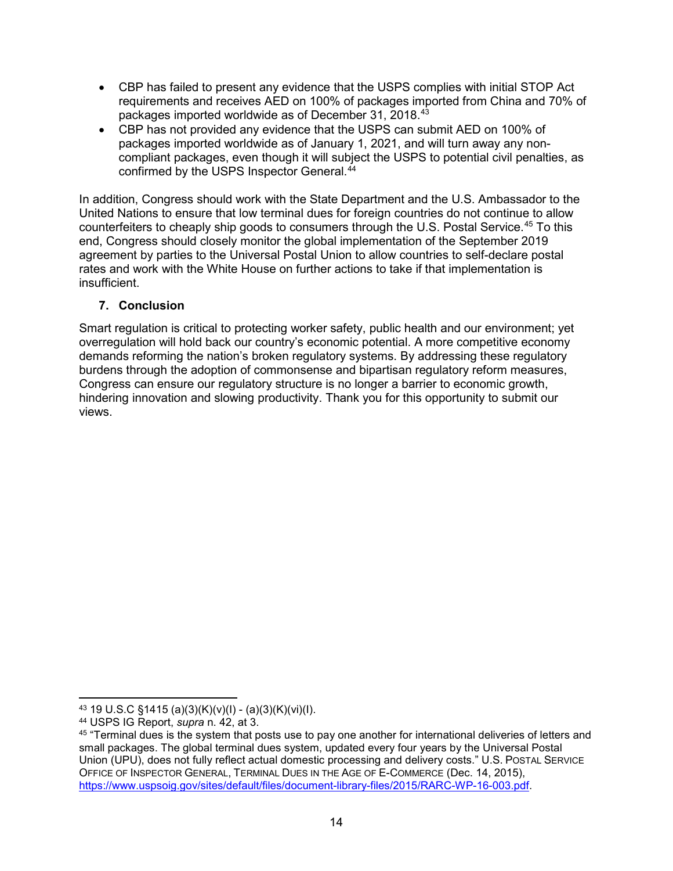- CBP has failed to present any evidence that the USPS complies with initial STOP Act requirements and receives AED on 100% of packages imported from China and 70% of packages imported worldwide as of December 31, 2018.<sup>[43](#page-13-0)</sup>
- CBP has not provided any evidence that the USPS can submit AED on 100% of packages imported worldwide as of January 1, 2021, and will turn away any noncompliant packages, even though it will subject the USPS to potential civil penalties, as confirmed by the USPS Inspector General. [44](#page-13-1)

In addition, Congress should work with the State Department and the U.S. Ambassador to the United Nations to ensure that low terminal dues for foreign countries do not continue to allow counterfeiters to cheaply ship goods to consumers through the U.S. Postal Service.[45](#page-13-2) To this end, Congress should closely monitor the global implementation of the September 2019 agreement by parties to the Universal Postal Union to allow countries to self-declare postal rates and work with the White House on further actions to take if that implementation is insufficient.

## **7. Conclusion**

Smart regulation is critical to protecting worker safety, public health and our environment; yet overregulation will hold back our country's economic potential. A more competitive economy demands reforming the nation's broken regulatory systems. By addressing these regulatory burdens through the adoption of commonsense and bipartisan regulatory reform measures, Congress can ensure our regulatory structure is no longer a barrier to economic growth, hindering innovation and slowing productivity. Thank you for this opportunity to submit our views.

<span id="page-13-0"></span> <sup>43</sup> 19 U.S.C §1415 (a)(3)(K)(v)(I) - (a)(3)(K)(vi)(I).

<span id="page-13-1"></span><sup>44</sup> USPS IG Report, *supra* n. 42, at 3.

<span id="page-13-2"></span><sup>45</sup> "Terminal dues is the system that posts use to pay one another for international deliveries of letters and small packages. The global terminal dues system, updated every four years by the Universal Postal Union (UPU), does not fully reflect actual domestic processing and delivery costs." U.S. POSTAL SERVICE OFFICE OF INSPECTOR GENERAL, TERMINAL DUES IN THE AGE OF E-COMMERCE (Dec. 14, 2015), [https://www.uspsoig.gov/sites/default/files/document-library-files/2015/RARC-WP-16-003.pdf.](https://www.uspsoig.gov/sites/default/files/document-library-files/2015/RARC-WP-16-003.pdf)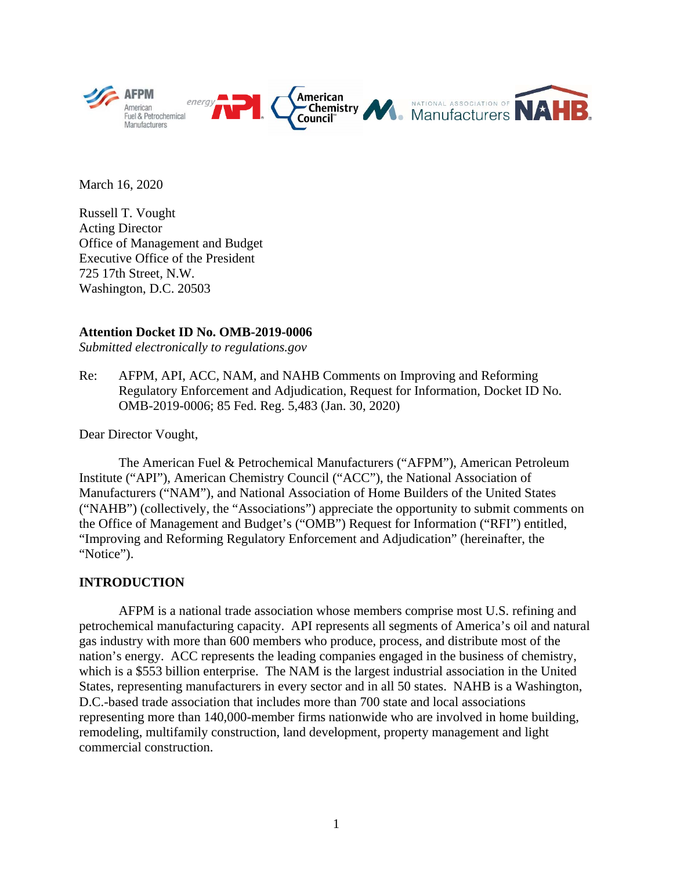

March 16, 2020

Russell T. Vought Acting Director Office of Management and Budget Executive Office of the President 725 17th Street, N.W. Washington, D.C. 20503

#### **Attention Docket ID No. OMB-2019-0006**

*Submitted electronically to regulations.gov*

Re: AFPM, API, ACC, NAM, and NAHB Comments on Improving and Reforming Regulatory Enforcement and Adjudication, Request for Information, Docket ID No. OMB-2019-0006; 85 Fed. Reg. 5,483 (Jan. 30, 2020)

Dear Director Vought,

The American Fuel & Petrochemical Manufacturers ("AFPM"), American Petroleum Institute ("API"), American Chemistry Council ("ACC"), the National Association of Manufacturers ("NAM"), and National Association of Home Builders of the United States ("NAHB") (collectively, the "Associations") appreciate the opportunity to submit comments on the Office of Management and Budget's ("OMB") Request for Information ("RFI") entitled, "Improving and Reforming Regulatory Enforcement and Adjudication" (hereinafter, the "Notice").

#### **INTRODUCTION**

AFPM is a national trade association whose members comprise most U.S. refining and petrochemical manufacturing capacity. API represents all segments of America's oil and natural gas industry with more than 600 members who produce, process, and distribute most of the nation's energy. ACC represents the leading companies engaged in the business of chemistry, which is a \$553 billion enterprise. The NAM is the largest industrial association in the United States, representing manufacturers in every sector and in all 50 states. NAHB is a Washington, D.C.-based trade association that includes more than 700 state and local associations representing more than 140,000-member firms nationwide who are involved in home building, remodeling, multifamily construction, land development, property management and light commercial construction.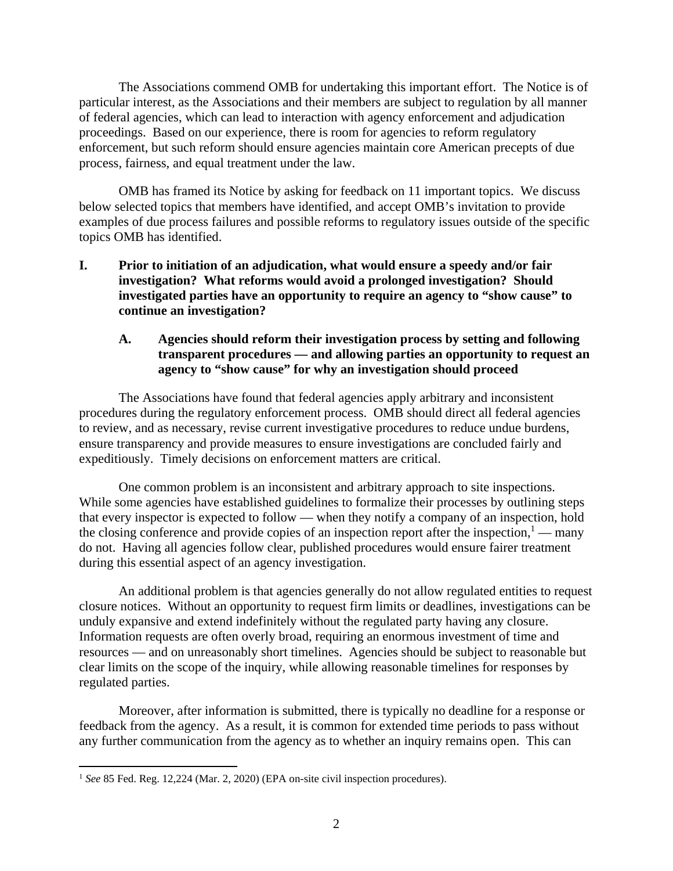The Associations commend OMB for undertaking this important effort. The Notice is of particular interest, as the Associations and their members are subject to regulation by all manner of federal agencies, which can lead to interaction with agency enforcement and adjudication proceedings. Based on our experience, there is room for agencies to reform regulatory enforcement, but such reform should ensure agencies maintain core American precepts of due process, fairness, and equal treatment under the law.

OMB has framed its Notice by asking for feedback on 11 important topics. We discuss below selected topics that members have identified, and accept OMB's invitation to provide examples of due process failures and possible reforms to regulatory issues outside of the specific topics OMB has identified.

**I. Prior to initiation of an adjudication, what would ensure a speedy and/or fair investigation? What reforms would avoid a prolonged investigation? Should investigated parties have an opportunity to require an agency to "show cause" to continue an investigation?** 

#### **A. Agencies should reform their investigation process by setting and following transparent procedures — and allowing parties an opportunity to request an agency to "show cause" for why an investigation should proceed**

The Associations have found that federal agencies apply arbitrary and inconsistent procedures during the regulatory enforcement process. OMB should direct all federal agencies to review, and as necessary, revise current investigative procedures to reduce undue burdens, ensure transparency and provide measures to ensure investigations are concluded fairly and expeditiously. Timely decisions on enforcement matters are critical.

One common problem is an inconsistent and arbitrary approach to site inspections. While some agencies have established guidelines to formalize their processes by outlining steps that every inspector is expected to follow — when they notify a company of an inspection, hold the closing conference and provide copies of an inspection report after the inspection,  $1 -$  many do not. Having all agencies follow clear, published procedures would ensure fairer treatment during this essential aspect of an agency investigation.

An additional problem is that agencies generally do not allow regulated entities to request closure notices. Without an opportunity to request firm limits or deadlines, investigations can be unduly expansive and extend indefinitely without the regulated party having any closure. Information requests are often overly broad, requiring an enormous investment of time and resources — and on unreasonably short timelines. Agencies should be subject to reasonable but clear limits on the scope of the inquiry, while allowing reasonable timelines for responses by regulated parties.

Moreover, after information is submitted, there is typically no deadline for a response or feedback from the agency. As a result, it is common for extended time periods to pass without any further communication from the agency as to whether an inquiry remains open. This can

<sup>&</sup>lt;sup>1</sup> See 85 Fed. Reg. 12,224 (Mar. 2, 2020) (EPA on-site civil inspection procedures).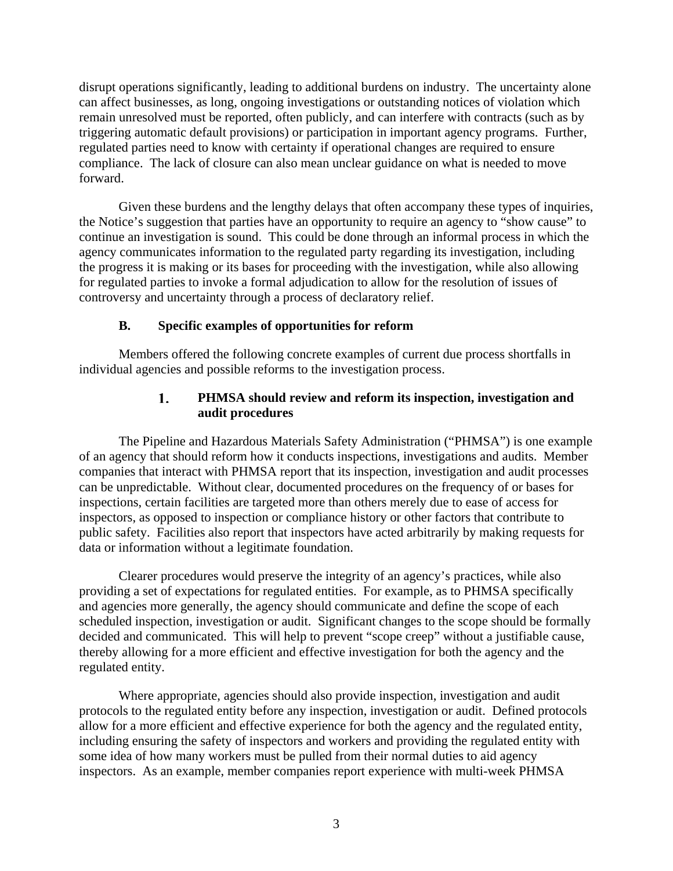disrupt operations significantly, leading to additional burdens on industry. The uncertainty alone can affect businesses, as long, ongoing investigations or outstanding notices of violation which remain unresolved must be reported, often publicly, and can interfere with contracts (such as by triggering automatic default provisions) or participation in important agency programs. Further, regulated parties need to know with certainty if operational changes are required to ensure compliance. The lack of closure can also mean unclear guidance on what is needed to move forward.

Given these burdens and the lengthy delays that often accompany these types of inquiries, the Notice's suggestion that parties have an opportunity to require an agency to "show cause" to continue an investigation is sound. This could be done through an informal process in which the agency communicates information to the regulated party regarding its investigation, including the progress it is making or its bases for proceeding with the investigation, while also allowing for regulated parties to invoke a formal adjudication to allow for the resolution of issues of controversy and uncertainty through a process of declaratory relief.

## **B. Specific examples of opportunities for reform**

Members offered the following concrete examples of current due process shortfalls in individual agencies and possible reforms to the investigation process.

#### 1. **PHMSA should review and reform its inspection, investigation and audit procedures**

The Pipeline and Hazardous Materials Safety Administration ("PHMSA") is one example of an agency that should reform how it conducts inspections, investigations and audits. Member companies that interact with PHMSA report that its inspection, investigation and audit processes can be unpredictable. Without clear, documented procedures on the frequency of or bases for inspections, certain facilities are targeted more than others merely due to ease of access for inspectors, as opposed to inspection or compliance history or other factors that contribute to public safety. Facilities also report that inspectors have acted arbitrarily by making requests for data or information without a legitimate foundation.

Clearer procedures would preserve the integrity of an agency's practices, while also providing a set of expectations for regulated entities. For example, as to PHMSA specifically and agencies more generally, the agency should communicate and define the scope of each scheduled inspection, investigation or audit. Significant changes to the scope should be formally decided and communicated. This will help to prevent "scope creep" without a justifiable cause, thereby allowing for a more efficient and effective investigation for both the agency and the regulated entity.

Where appropriate, agencies should also provide inspection, investigation and audit protocols to the regulated entity before any inspection, investigation or audit. Defined protocols allow for a more efficient and effective experience for both the agency and the regulated entity, including ensuring the safety of inspectors and workers and providing the regulated entity with some idea of how many workers must be pulled from their normal duties to aid agency inspectors. As an example, member companies report experience with multi-week PHMSA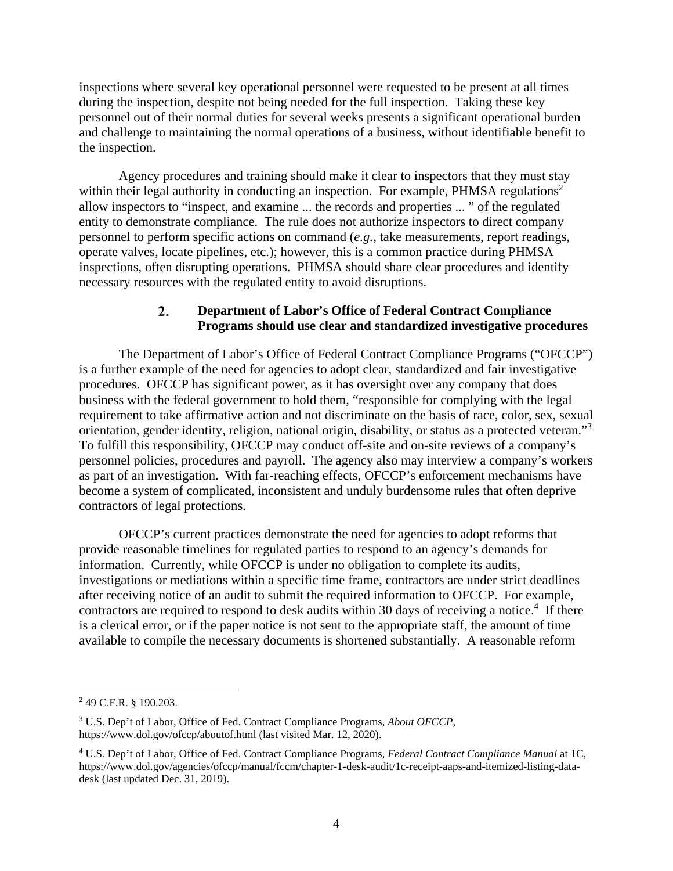inspections where several key operational personnel were requested to be present at all times during the inspection, despite not being needed for the full inspection. Taking these key personnel out of their normal duties for several weeks presents a significant operational burden and challenge to maintaining the normal operations of a business, without identifiable benefit to the inspection.

Agency procedures and training should make it clear to inspectors that they must stay within their legal authority in conducting an inspection. For example, PHMSA regulations<sup>2</sup> allow inspectors to "inspect, and examine ... the records and properties ... " of the regulated entity to demonstrate compliance. The rule does not authorize inspectors to direct company personnel to perform specific actions on command (*e.g.*, take measurements, report readings, operate valves, locate pipelines, etc.); however, this is a common practice during PHMSA inspections, often disrupting operations. PHMSA should share clear procedures and identify necessary resources with the regulated entity to avoid disruptions.

#### $2.$ **Department of Labor's Office of Federal Contract Compliance Programs should use clear and standardized investigative procedures**

The Department of Labor's Office of Federal Contract Compliance Programs ("OFCCP") is a further example of the need for agencies to adopt clear, standardized and fair investigative procedures. OFCCP has significant power, as it has oversight over any company that does business with the federal government to hold them, "responsible for complying with the legal requirement to take affirmative action and not discriminate on the basis of race, color, sex, sexual orientation, gender identity, religion, national origin, disability, or status as a protected veteran."<sup>3</sup> To fulfill this responsibility, OFCCP may conduct off-site and on-site reviews of a company's personnel policies, procedures and payroll. The agency also may interview a company's workers as part of an investigation. With far-reaching effects, OFCCP's enforcement mechanisms have become a system of complicated, inconsistent and unduly burdensome rules that often deprive contractors of legal protections.

OFCCP's current practices demonstrate the need for agencies to adopt reforms that provide reasonable timelines for regulated parties to respond to an agency's demands for information. Currently, while OFCCP is under no obligation to complete its audits, investigations or mediations within a specific time frame, contractors are under strict deadlines after receiving notice of an audit to submit the required information to OFCCP. For example, contractors are required to respond to desk audits within 30 days of receiving a notice.<sup>4</sup> If there is a clerical error, or if the paper notice is not sent to the appropriate staff, the amount of time available to compile the necessary documents is shortened substantially. A reasonable reform

<u>.</u>

<sup>&</sup>lt;sup>2</sup> 49 C.F.R. § 190.203.

<sup>3</sup> U.S. Dep't of Labor, Office of Fed. Contract Compliance Programs, *About OFCCP*, https://www.dol.gov/ofccp/aboutof.html (last visited Mar. 12, 2020).

<sup>4</sup> U.S. Dep't of Labor, Office of Fed. Contract Compliance Programs, *Federal Contract Compliance Manual* at 1C, https://www.dol.gov/agencies/ofccp/manual/fccm/chapter-1-desk-audit/1c-receipt-aaps-and-itemized-listing-datadesk (last updated Dec. 31, 2019).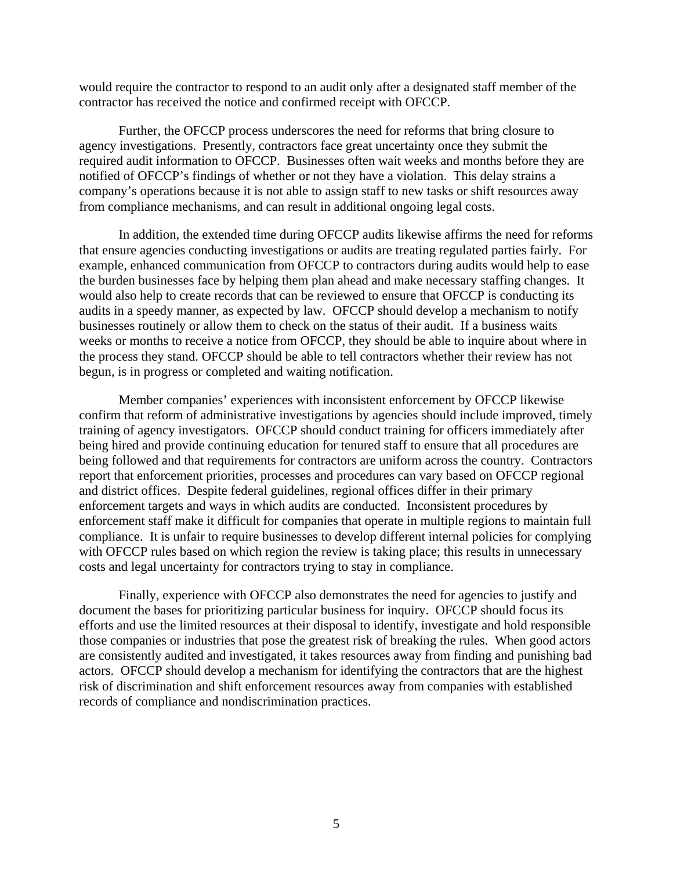would require the contractor to respond to an audit only after a designated staff member of the contractor has received the notice and confirmed receipt with OFCCP.

Further, the OFCCP process underscores the need for reforms that bring closure to agency investigations. Presently, contractors face great uncertainty once they submit the required audit information to OFCCP. Businesses often wait weeks and months before they are notified of OFCCP's findings of whether or not they have a violation. This delay strains a company's operations because it is not able to assign staff to new tasks or shift resources away from compliance mechanisms, and can result in additional ongoing legal costs.

In addition, the extended time during OFCCP audits likewise affirms the need for reforms that ensure agencies conducting investigations or audits are treating regulated parties fairly. For example, enhanced communication from OFCCP to contractors during audits would help to ease the burden businesses face by helping them plan ahead and make necessary staffing changes. It would also help to create records that can be reviewed to ensure that OFCCP is conducting its audits in a speedy manner, as expected by law. OFCCP should develop a mechanism to notify businesses routinely or allow them to check on the status of their audit. If a business waits weeks or months to receive a notice from OFCCP, they should be able to inquire about where in the process they stand. OFCCP should be able to tell contractors whether their review has not begun, is in progress or completed and waiting notification.

Member companies' experiences with inconsistent enforcement by OFCCP likewise confirm that reform of administrative investigations by agencies should include improved, timely training of agency investigators. OFCCP should conduct training for officers immediately after being hired and provide continuing education for tenured staff to ensure that all procedures are being followed and that requirements for contractors are uniform across the country. Contractors report that enforcement priorities, processes and procedures can vary based on OFCCP regional and district offices. Despite federal guidelines, regional offices differ in their primary enforcement targets and ways in which audits are conducted. Inconsistent procedures by enforcement staff make it difficult for companies that operate in multiple regions to maintain full compliance. It is unfair to require businesses to develop different internal policies for complying with OFCCP rules based on which region the review is taking place; this results in unnecessary costs and legal uncertainty for contractors trying to stay in compliance.

Finally, experience with OFCCP also demonstrates the need for agencies to justify and document the bases for prioritizing particular business for inquiry. OFCCP should focus its efforts and use the limited resources at their disposal to identify, investigate and hold responsible those companies or industries that pose the greatest risk of breaking the rules. When good actors are consistently audited and investigated, it takes resources away from finding and punishing bad actors. OFCCP should develop a mechanism for identifying the contractors that are the highest risk of discrimination and shift enforcement resources away from companies with established records of compliance and nondiscrimination practices.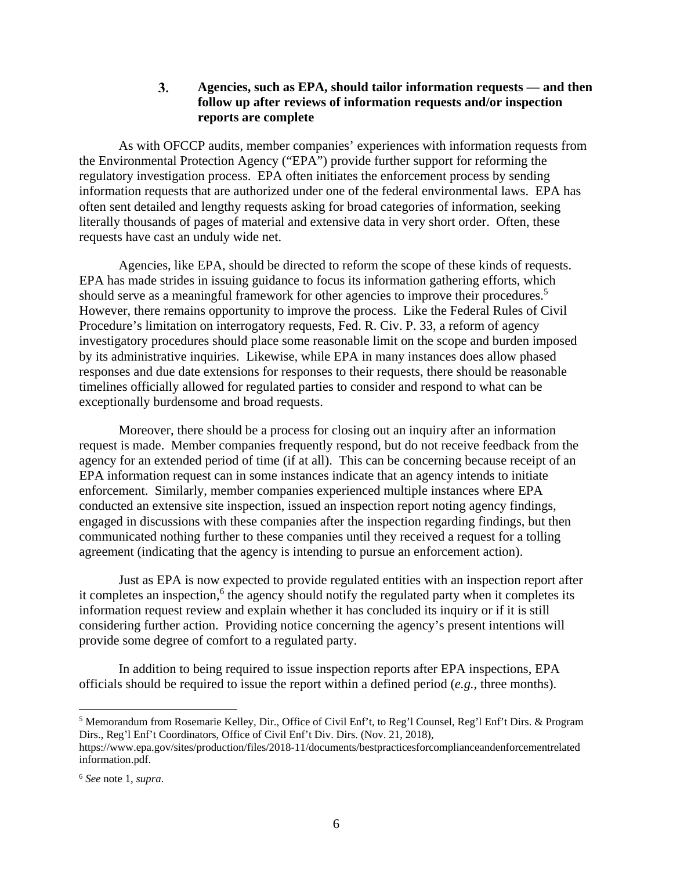#### $3.$ **Agencies, such as EPA, should tailor information requests — and then follow up after reviews of information requests and/or inspection reports are complete**

As with OFCCP audits, member companies' experiences with information requests from the Environmental Protection Agency ("EPA") provide further support for reforming the regulatory investigation process. EPA often initiates the enforcement process by sending information requests that are authorized under one of the federal environmental laws. EPA has often sent detailed and lengthy requests asking for broad categories of information, seeking literally thousands of pages of material and extensive data in very short order. Often, these requests have cast an unduly wide net.

Agencies, like EPA, should be directed to reform the scope of these kinds of requests. EPA has made strides in issuing guidance to focus its information gathering efforts, which should serve as a meaningful framework for other agencies to improve their procedures.<sup>5</sup> However, there remains opportunity to improve the process. Like the Federal Rules of Civil Procedure's limitation on interrogatory requests, Fed. R. Civ. P. 33, a reform of agency investigatory procedures should place some reasonable limit on the scope and burden imposed by its administrative inquiries. Likewise, while EPA in many instances does allow phased responses and due date extensions for responses to their requests, there should be reasonable timelines officially allowed for regulated parties to consider and respond to what can be exceptionally burdensome and broad requests.

Moreover, there should be a process for closing out an inquiry after an information request is made. Member companies frequently respond, but do not receive feedback from the agency for an extended period of time (if at all). This can be concerning because receipt of an EPA information request can in some instances indicate that an agency intends to initiate enforcement. Similarly, member companies experienced multiple instances where EPA conducted an extensive site inspection, issued an inspection report noting agency findings, engaged in discussions with these companies after the inspection regarding findings, but then communicated nothing further to these companies until they received a request for a tolling agreement (indicating that the agency is intending to pursue an enforcement action).

Just as EPA is now expected to provide regulated entities with an inspection report after it completes an inspection,<sup>6</sup> the agency should notify the regulated party when it completes its information request review and explain whether it has concluded its inquiry or if it is still considering further action. Providing notice concerning the agency's present intentions will provide some degree of comfort to a regulated party.

In addition to being required to issue inspection reports after EPA inspections, EPA officials should be required to issue the report within a defined period (*e.g.*, three months).

<sup>&</sup>lt;sup>5</sup> Memorandum from Rosemarie Kelley, Dir., Office of Civil Enf't, to Reg'l Counsel, Reg'l Enf't Dirs. & Program Dirs., Reg'l Enf't Coordinators, Office of Civil Enf't Div. Dirs. (Nov. 21, 2018),

https://www.epa.gov/sites/production/files/2018-11/documents/bestpracticesforcomplianceandenforcementrelated information.pdf.

<sup>6</sup> *See* note 1, *supra*.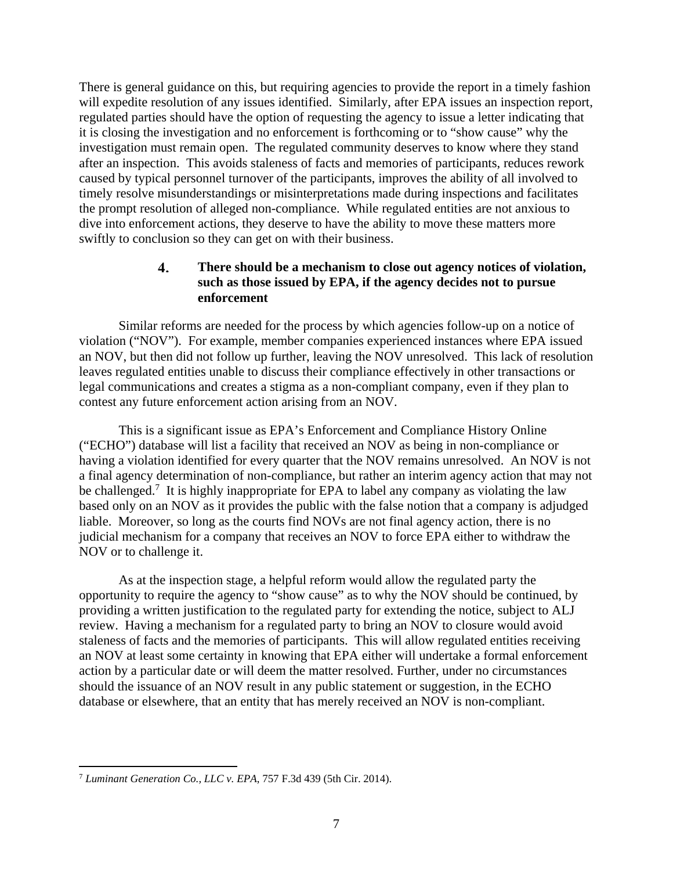There is general guidance on this, but requiring agencies to provide the report in a timely fashion will expedite resolution of any issues identified. Similarly, after EPA issues an inspection report, regulated parties should have the option of requesting the agency to issue a letter indicating that it is closing the investigation and no enforcement is forthcoming or to "show cause" why the investigation must remain open. The regulated community deserves to know where they stand after an inspection. This avoids staleness of facts and memories of participants, reduces rework caused by typical personnel turnover of the participants, improves the ability of all involved to timely resolve misunderstandings or misinterpretations made during inspections and facilitates the prompt resolution of alleged non-compliance. While regulated entities are not anxious to dive into enforcement actions, they deserve to have the ability to move these matters more swiftly to conclusion so they can get on with their business.

#### 4. **There should be a mechanism to close out agency notices of violation, such as those issued by EPA, if the agency decides not to pursue enforcement**

Similar reforms are needed for the process by which agencies follow-up on a notice of violation ("NOV"). For example, member companies experienced instances where EPA issued an NOV, but then did not follow up further, leaving the NOV unresolved. This lack of resolution leaves regulated entities unable to discuss their compliance effectively in other transactions or legal communications and creates a stigma as a non-compliant company, even if they plan to contest any future enforcement action arising from an NOV.

This is a significant issue as EPA's Enforcement and Compliance History Online ("ECHO") database will list a facility that received an NOV as being in non-compliance or having a violation identified for every quarter that the NOV remains unresolved. An NOV is not a final agency determination of non-compliance, but rather an interim agency action that may not be challenged.<sup>7</sup> It is highly inappropriate for EPA to label any company as violating the law based only on an NOV as it provides the public with the false notion that a company is adjudged liable. Moreover, so long as the courts find NOVs are not final agency action, there is no judicial mechanism for a company that receives an NOV to force EPA either to withdraw the NOV or to challenge it.

As at the inspection stage, a helpful reform would allow the regulated party the opportunity to require the agency to "show cause" as to why the NOV should be continued, by providing a written justification to the regulated party for extending the notice, subject to ALJ review. Having a mechanism for a regulated party to bring an NOV to closure would avoid staleness of facts and the memories of participants. This will allow regulated entities receiving an NOV at least some certainty in knowing that EPA either will undertake a formal enforcement action by a particular date or will deem the matter resolved. Further, under no circumstances should the issuance of an NOV result in any public statement or suggestion, in the ECHO database or elsewhere, that an entity that has merely received an NOV is non-compliant.

<sup>7</sup> *Luminant Generation Co., LLC v. EPA*, 757 F.3d 439 (5th Cir. 2014).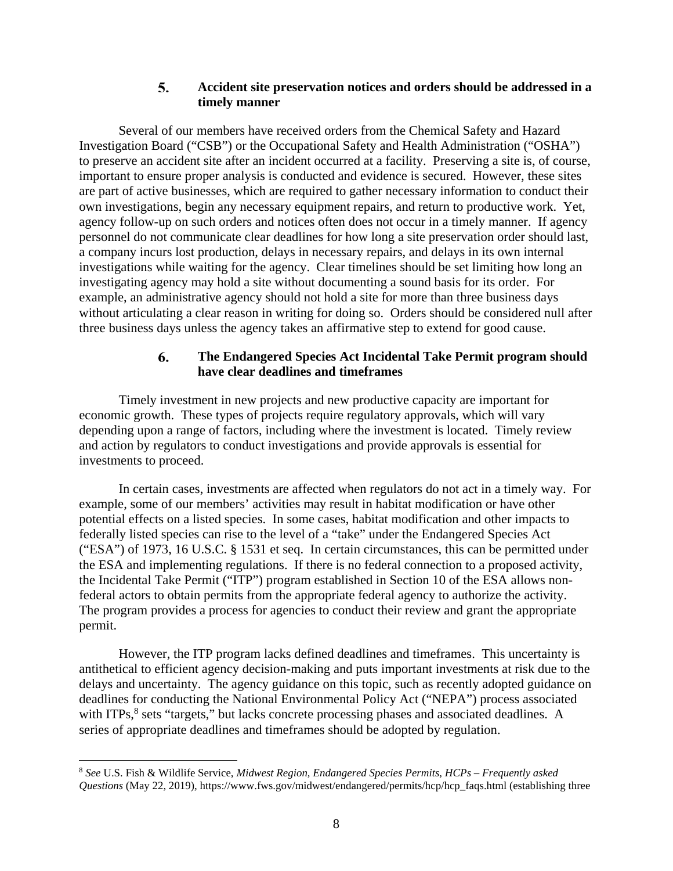#### 5. **Accident site preservation notices and orders should be addressed in a timely manner**

Several of our members have received orders from the Chemical Safety and Hazard Investigation Board ("CSB") or the Occupational Safety and Health Administration ("OSHA") to preserve an accident site after an incident occurred at a facility. Preserving a site is, of course, important to ensure proper analysis is conducted and evidence is secured. However, these sites are part of active businesses, which are required to gather necessary information to conduct their own investigations, begin any necessary equipment repairs, and return to productive work. Yet, agency follow-up on such orders and notices often does not occur in a timely manner. If agency personnel do not communicate clear deadlines for how long a site preservation order should last, a company incurs lost production, delays in necessary repairs, and delays in its own internal investigations while waiting for the agency. Clear timelines should be set limiting how long an investigating agency may hold a site without documenting a sound basis for its order. For example, an administrative agency should not hold a site for more than three business days without articulating a clear reason in writing for doing so. Orders should be considered null after three business days unless the agency takes an affirmative step to extend for good cause.

#### 6. **The Endangered Species Act Incidental Take Permit program should have clear deadlines and timeframes**

Timely investment in new projects and new productive capacity are important for economic growth. These types of projects require regulatory approvals, which will vary depending upon a range of factors, including where the investment is located. Timely review and action by regulators to conduct investigations and provide approvals is essential for investments to proceed.

In certain cases, investments are affected when regulators do not act in a timely way. For example, some of our members' activities may result in habitat modification or have other potential effects on a listed species. In some cases, habitat modification and other impacts to federally listed species can rise to the level of a "take" under the Endangered Species Act ("ESA") of 1973, 16 U.S.C. § 1531 et seq. In certain circumstances, this can be permitted under the ESA and implementing regulations. If there is no federal connection to a proposed activity, the Incidental Take Permit ("ITP") program established in Section 10 of the ESA allows nonfederal actors to obtain permits from the appropriate federal agency to authorize the activity. The program provides a process for agencies to conduct their review and grant the appropriate permit.

However, the ITP program lacks defined deadlines and timeframes. This uncertainty is antithetical to efficient agency decision-making and puts important investments at risk due to the delays and uncertainty. The agency guidance on this topic, such as recently adopted guidance on deadlines for conducting the National Environmental Policy Act ("NEPA") process associated with ITPs,<sup>8</sup> sets "targets," but lacks concrete processing phases and associated deadlines. A series of appropriate deadlines and timeframes should be adopted by regulation.

<sup>8</sup> *See* U.S. Fish & Wildlife Service, *Midwest Region, Endangered Species Permits, HCPs – Frequently asked Questions* (May 22, 2019), https://www.fws.gov/midwest/endangered/permits/hcp/hcp\_faqs.html (establishing three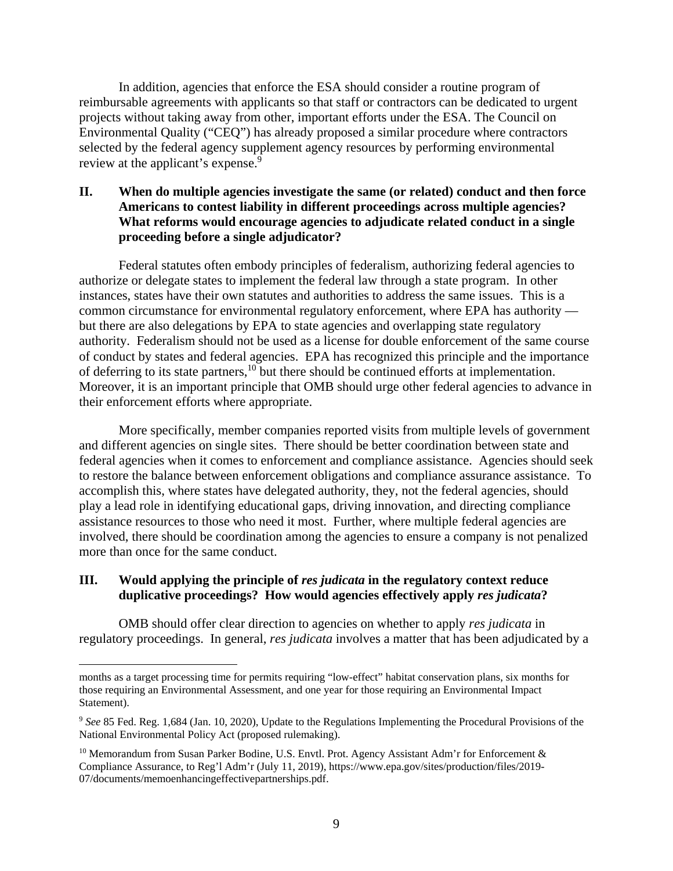In addition, agencies that enforce the ESA should consider a routine program of reimbursable agreements with applicants so that staff or contractors can be dedicated to urgent projects without taking away from other, important efforts under the ESA. The Council on Environmental Quality ("CEQ") has already proposed a similar procedure where contractors selected by the federal agency supplement agency resources by performing environmental review at the applicant's expense.<sup>9</sup>

### **II. When do multiple agencies investigate the same (or related) conduct and then force Americans to contest liability in different proceedings across multiple agencies? What reforms would encourage agencies to adjudicate related conduct in a single proceeding before a single adjudicator?**

Federal statutes often embody principles of federalism, authorizing federal agencies to authorize or delegate states to implement the federal law through a state program. In other instances, states have their own statutes and authorities to address the same issues. This is a common circumstance for environmental regulatory enforcement, where EPA has authority but there are also delegations by EPA to state agencies and overlapping state regulatory authority. Federalism should not be used as a license for double enforcement of the same course of conduct by states and federal agencies. EPA has recognized this principle and the importance of deferring to its state partners,10 but there should be continued efforts at implementation. Moreover, it is an important principle that OMB should urge other federal agencies to advance in their enforcement efforts where appropriate.

More specifically, member companies reported visits from multiple levels of government and different agencies on single sites. There should be better coordination between state and federal agencies when it comes to enforcement and compliance assistance. Agencies should seek to restore the balance between enforcement obligations and compliance assurance assistance. To accomplish this, where states have delegated authority, they, not the federal agencies, should play a lead role in identifying educational gaps, driving innovation, and directing compliance assistance resources to those who need it most. Further, where multiple federal agencies are involved, there should be coordination among the agencies to ensure a company is not penalized more than once for the same conduct.

## **III. Would applying the principle of** *res judicata* **in the regulatory context reduce duplicative proceedings? How would agencies effectively apply** *res judicata***?**

 $\overline{a}$ 

OMB should offer clear direction to agencies on whether to apply *res judicata* in regulatory proceedings. In general, *res judicata* involves a matter that has been adjudicated by a

months as a target processing time for permits requiring "low-effect" habitat conservation plans, six months for those requiring an Environmental Assessment, and one year for those requiring an Environmental Impact Statement).

<sup>9</sup> *See* 85 Fed. Reg. 1,684 (Jan. 10, 2020), Update to the Regulations Implementing the Procedural Provisions of the National Environmental Policy Act (proposed rulemaking).

<sup>&</sup>lt;sup>10</sup> Memorandum from Susan Parker Bodine, U.S. Envtl. Prot. Agency Assistant Adm'r for Enforcement & Compliance Assurance, to Reg'l Adm'r (July 11, 2019), https://www.epa.gov/sites/production/files/2019- 07/documents/memoenhancingeffectivepartnerships.pdf.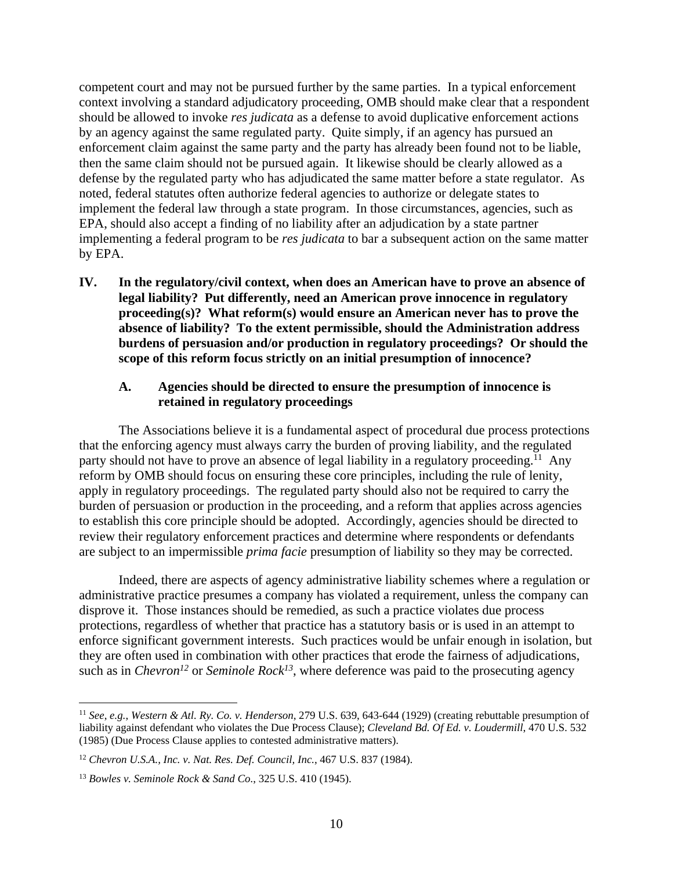competent court and may not be pursued further by the same parties. In a typical enforcement context involving a standard adjudicatory proceeding, OMB should make clear that a respondent should be allowed to invoke *res judicata* as a defense to avoid duplicative enforcement actions by an agency against the same regulated party. Quite simply, if an agency has pursued an enforcement claim against the same party and the party has already been found not to be liable, then the same claim should not be pursued again. It likewise should be clearly allowed as a defense by the regulated party who has adjudicated the same matter before a state regulator. As noted, federal statutes often authorize federal agencies to authorize or delegate states to implement the federal law through a state program. In those circumstances, agencies, such as EPA, should also accept a finding of no liability after an adjudication by a state partner implementing a federal program to be *res judicata* to bar a subsequent action on the same matter by EPA.

**IV. In the regulatory/civil context, when does an American have to prove an absence of legal liability? Put differently, need an American prove innocence in regulatory proceeding(s)? What reform(s) would ensure an American never has to prove the absence of liability? To the extent permissible, should the Administration address burdens of persuasion and/or production in regulatory proceedings? Or should the scope of this reform focus strictly on an initial presumption of innocence?** 

#### **A. Agencies should be directed to ensure the presumption of innocence is retained in regulatory proceedings**

The Associations believe it is a fundamental aspect of procedural due process protections that the enforcing agency must always carry the burden of proving liability, and the regulated party should not have to prove an absence of legal liability in a regulatory proceeding.<sup>11</sup> Any reform by OMB should focus on ensuring these core principles, including the rule of lenity, apply in regulatory proceedings. The regulated party should also not be required to carry the burden of persuasion or production in the proceeding, and a reform that applies across agencies to establish this core principle should be adopted. Accordingly, agencies should be directed to review their regulatory enforcement practices and determine where respondents or defendants are subject to an impermissible *prima facie* presumption of liability so they may be corrected.

Indeed, there are aspects of agency administrative liability schemes where a regulation or administrative practice presumes a company has violated a requirement, unless the company can disprove it. Those instances should be remedied, as such a practice violates due process protections, regardless of whether that practice has a statutory basis or is used in an attempt to enforce significant government interests. Such practices would be unfair enough in isolation, but they are often used in combination with other practices that erode the fairness of adjudications, such as in *Chevron<sup>12</sup>* or *Seminole Rock*<sup>13</sup>, where deference was paid to the prosecuting agency

<sup>11</sup> *See*, *e.g.*, *Western & Atl. Ry. Co. v. Henderson*, 279 U.S. 639, 643-644 (1929) (creating rebuttable presumption of liability against defendant who violates the Due Process Clause); *Cleveland Bd. Of Ed. v. Loudermill*, 470 U.S. 532 (1985) (Due Process Clause applies to contested administrative matters).

<sup>12</sup> *Chevron U.S.A., Inc. v. Nat. Res. Def. Council, Inc.*, 467 U.S. 837 (1984).

<sup>13</sup> *Bowles v. Seminole Rock & Sand Co.*, 325 U.S. 410 (1945).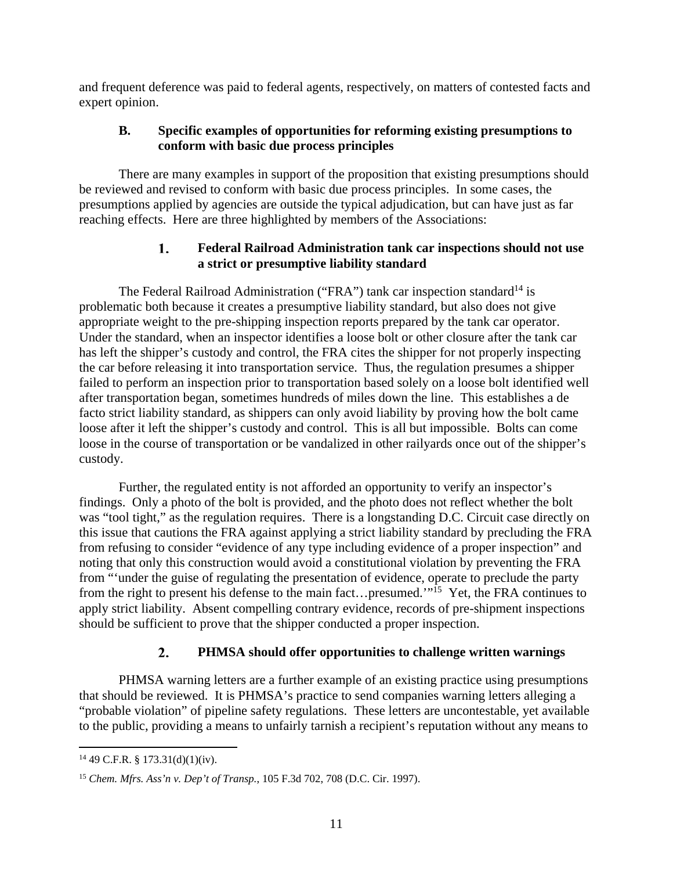and frequent deference was paid to federal agents, respectively, on matters of contested facts and expert opinion.

## **B. Specific examples of opportunities for reforming existing presumptions to conform with basic due process principles**

There are many examples in support of the proposition that existing presumptions should be reviewed and revised to conform with basic due process principles. In some cases, the presumptions applied by agencies are outside the typical adjudication, but can have just as far reaching effects. Here are three highlighted by members of the Associations:

#### **Federal Railroad Administration tank car inspections should not use**  1. **a strict or presumptive liability standard**

The Federal Railroad Administration ("FRA") tank car inspection standard<sup>14</sup> is problematic both because it creates a presumptive liability standard, but also does not give appropriate weight to the pre-shipping inspection reports prepared by the tank car operator. Under the standard, when an inspector identifies a loose bolt or other closure after the tank car has left the shipper's custody and control, the FRA cites the shipper for not properly inspecting the car before releasing it into transportation service. Thus, the regulation presumes a shipper failed to perform an inspection prior to transportation based solely on a loose bolt identified well after transportation began, sometimes hundreds of miles down the line. This establishes a de facto strict liability standard, as shippers can only avoid liability by proving how the bolt came loose after it left the shipper's custody and control. This is all but impossible. Bolts can come loose in the course of transportation or be vandalized in other railyards once out of the shipper's custody.

Further, the regulated entity is not afforded an opportunity to verify an inspector's findings. Only a photo of the bolt is provided, and the photo does not reflect whether the bolt was "tool tight," as the regulation requires. There is a longstanding D.C. Circuit case directly on this issue that cautions the FRA against applying a strict liability standard by precluding the FRA from refusing to consider "evidence of any type including evidence of a proper inspection" and noting that only this construction would avoid a constitutional violation by preventing the FRA from "'under the guise of regulating the presentation of evidence, operate to preclude the party from the right to present his defense to the main fact…presumed."<sup>15</sup> Yet, the FRA continues to apply strict liability. Absent compelling contrary evidence, records of pre-shipment inspections should be sufficient to prove that the shipper conducted a proper inspection.

#### 2. **PHMSA should offer opportunities to challenge written warnings**

PHMSA warning letters are a further example of an existing practice using presumptions that should be reviewed. It is PHMSA's practice to send companies warning letters alleging a "probable violation" of pipeline safety regulations. These letters are uncontestable, yet available to the public, providing a means to unfairly tarnish a recipient's reputation without any means to

 $14$  49 C.F.R. § 173.31(d)(1)(iv).

<sup>15</sup> *Chem. Mfrs. Ass'n v. Dep't of Transp.*, 105 F.3d 702, 708 (D.C. Cir. 1997).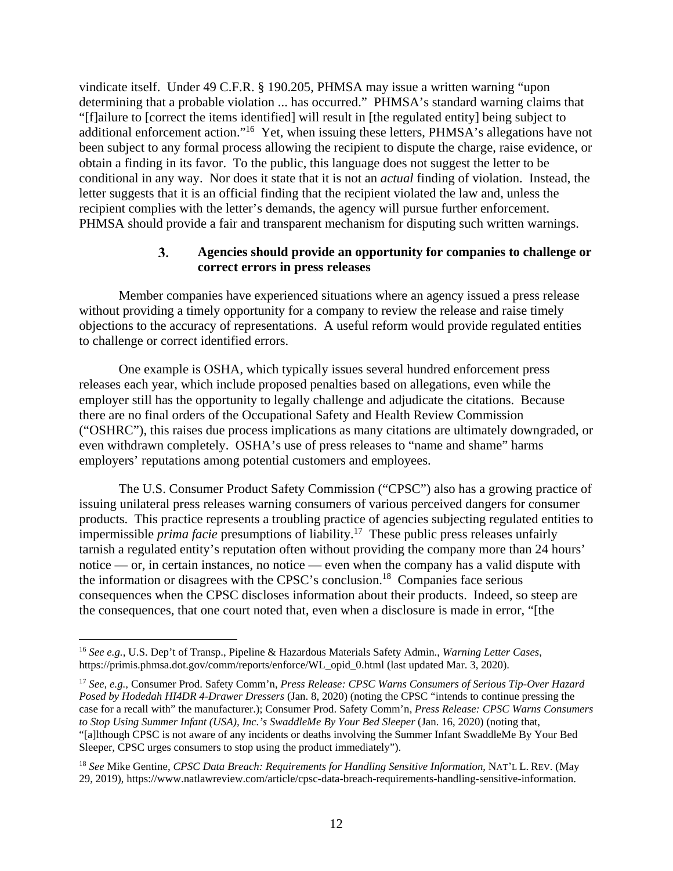vindicate itself. Under 49 C.F.R. § 190.205, PHMSA may issue a written warning "upon determining that a probable violation ... has occurred." PHMSA's standard warning claims that "[f]ailure to [correct the items identified] will result in [the regulated entity] being subject to additional enforcement action."16 Yet, when issuing these letters, PHMSA's allegations have not been subject to any formal process allowing the recipient to dispute the charge, raise evidence, or obtain a finding in its favor. To the public, this language does not suggest the letter to be conditional in any way. Nor does it state that it is not an *actual* finding of violation. Instead, the letter suggests that it is an official finding that the recipient violated the law and, unless the recipient complies with the letter's demands, the agency will pursue further enforcement. PHMSA should provide a fair and transparent mechanism for disputing such written warnings.

#### 3. **Agencies should provide an opportunity for companies to challenge or correct errors in press releases**

Member companies have experienced situations where an agency issued a press release without providing a timely opportunity for a company to review the release and raise timely objections to the accuracy of representations. A useful reform would provide regulated entities to challenge or correct identified errors.

One example is OSHA, which typically issues several hundred enforcement press releases each year, which include proposed penalties based on allegations, even while the employer still has the opportunity to legally challenge and adjudicate the citations. Because there are no final orders of the Occupational Safety and Health Review Commission ("OSHRC"), this raises due process implications as many citations are ultimately downgraded, or even withdrawn completely. OSHA's use of press releases to "name and shame" harms employers' reputations among potential customers and employees.

The U.S. Consumer Product Safety Commission ("CPSC") also has a growing practice of issuing unilateral press releases warning consumers of various perceived dangers for consumer products. This practice represents a troubling practice of agencies subjecting regulated entities to impermissible *prima facie* presumptions of liability.17 These public press releases unfairly tarnish a regulated entity's reputation often without providing the company more than 24 hours' notice — or, in certain instances, no notice — even when the company has a valid dispute with the information or disagrees with the CPSC's conclusion.18 Companies face serious consequences when the CPSC discloses information about their products. Indeed, so steep are the consequences, that one court noted that, even when a disclosure is made in error, "[the

<sup>16</sup> *See e.g.*, U.S. Dep't of Transp., Pipeline & Hazardous Materials Safety Admin., *Warning Letter Cases*, https://primis.phmsa.dot.gov/comm/reports/enforce/WL\_opid\_0.html (last updated Mar. 3, 2020).

<sup>17</sup> *See, e.g.,* Consumer Prod. Safety Comm'n, *Press Release: CPSC Warns Consumers of Serious Tip-Over Hazard Posed by Hodedah HI4DR 4-Drawer Dressers* (Jan. 8, 2020) (noting the CPSC "intends to continue pressing the case for a recall with" the manufacturer.); Consumer Prod. Safety Comm'n, *Press Release: CPSC Warns Consumers to Stop Using Summer Infant (USA), Inc.'s SwaddleMe By Your Bed Sleeper* (Jan. 16, 2020) (noting that, "[a]lthough CPSC is not aware of any incidents or deaths involving the Summer Infant SwaddleMe By Your Bed Sleeper, CPSC urges consumers to stop using the product immediately").

<sup>18</sup> *See* Mike Gentine, *CPSC Data Breach: Requirements for Handling Sensitive Information*, NAT'L L. REV. (May 29, 2019), https://www.natlawreview.com/article/cpsc-data-breach-requirements-handling-sensitive-information.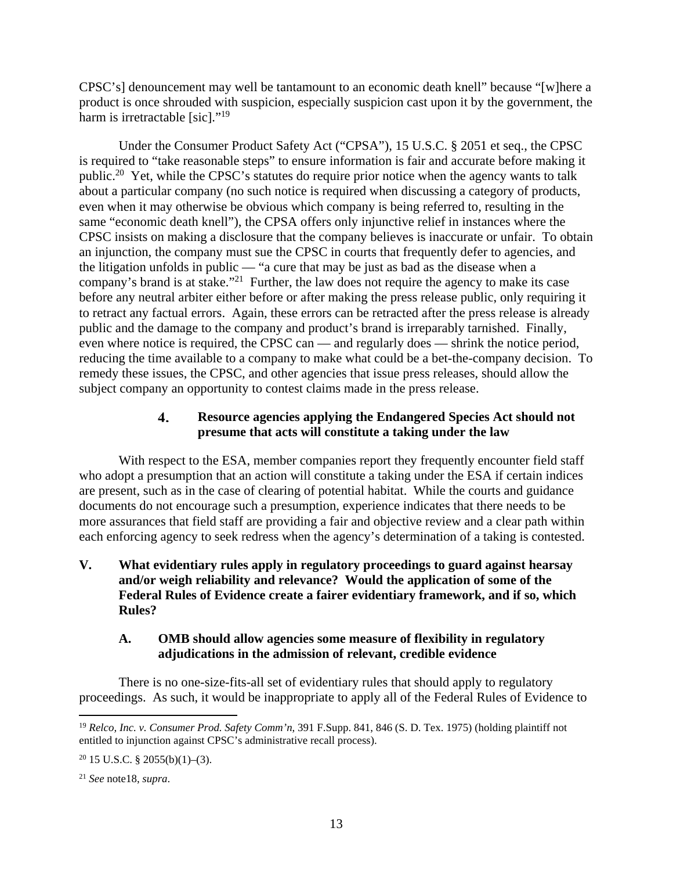CPSC's] denouncement may well be tantamount to an economic death knell" because "[w]here a product is once shrouded with suspicion, especially suspicion cast upon it by the government, the harm is irretractable [sic]."<sup>19</sup>

Under the Consumer Product Safety Act ("CPSA"), 15 U.S.C. § 2051 et seq., the CPSC is required to "take reasonable steps" to ensure information is fair and accurate before making it public.20 Yet, while the CPSC's statutes do require prior notice when the agency wants to talk about a particular company (no such notice is required when discussing a category of products, even when it may otherwise be obvious which company is being referred to, resulting in the same "economic death knell"), the CPSA offers only injunctive relief in instances where the CPSC insists on making a disclosure that the company believes is inaccurate or unfair. To obtain an injunction, the company must sue the CPSC in courts that frequently defer to agencies, and the litigation unfolds in public — "a cure that may be just as bad as the disease when a company's brand is at stake."<sup>21</sup> Further, the law does not require the agency to make its case before any neutral arbiter either before or after making the press release public, only requiring it to retract any factual errors. Again, these errors can be retracted after the press release is already public and the damage to the company and product's brand is irreparably tarnished. Finally, even where notice is required, the CPSC can — and regularly does — shrink the notice period, reducing the time available to a company to make what could be a bet-the-company decision. To remedy these issues, the CPSC, and other agencies that issue press releases, should allow the subject company an opportunity to contest claims made in the press release.

#### $\overline{4}$ . **Resource agencies applying the Endangered Species Act should not presume that acts will constitute a taking under the law**

With respect to the ESA, member companies report they frequently encounter field staff who adopt a presumption that an action will constitute a taking under the ESA if certain indices are present, such as in the case of clearing of potential habitat. While the courts and guidance documents do not encourage such a presumption, experience indicates that there needs to be more assurances that field staff are providing a fair and objective review and a clear path within each enforcing agency to seek redress when the agency's determination of a taking is contested.

## **V. What evidentiary rules apply in regulatory proceedings to guard against hearsay and/or weigh reliability and relevance? Would the application of some of the Federal Rules of Evidence create a fairer evidentiary framework, and if so, which Rules?**

### **A. OMB should allow agencies some measure of flexibility in regulatory adjudications in the admission of relevant, credible evidence**

There is no one-size-fits-all set of evidentiary rules that should apply to regulatory proceedings. As such, it would be inappropriate to apply all of the Federal Rules of Evidence to

<sup>19</sup> *Relco, Inc. v. Consumer Prod. Safety Comm'n*, 391 F.Supp. 841, 846 (S. D. Tex. 1975) (holding plaintiff not entitled to injunction against CPSC's administrative recall process).

 $20$  15 U.S.C. § 2055(b)(1)–(3).

<sup>21</sup> *See* note18, *supra*.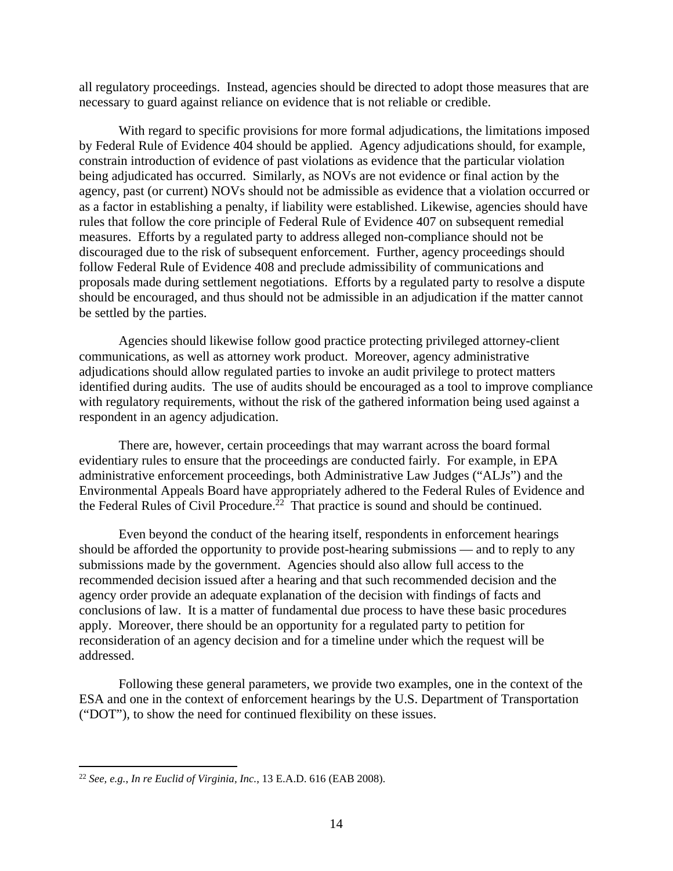all regulatory proceedings. Instead, agencies should be directed to adopt those measures that are necessary to guard against reliance on evidence that is not reliable or credible.

With regard to specific provisions for more formal adjudications, the limitations imposed by Federal Rule of Evidence 404 should be applied. Agency adjudications should, for example, constrain introduction of evidence of past violations as evidence that the particular violation being adjudicated has occurred. Similarly, as NOVs are not evidence or final action by the agency, past (or current) NOVs should not be admissible as evidence that a violation occurred or as a factor in establishing a penalty, if liability were established. Likewise, agencies should have rules that follow the core principle of Federal Rule of Evidence 407 on subsequent remedial measures. Efforts by a regulated party to address alleged non-compliance should not be discouraged due to the risk of subsequent enforcement. Further, agency proceedings should follow Federal Rule of Evidence 408 and preclude admissibility of communications and proposals made during settlement negotiations. Efforts by a regulated party to resolve a dispute should be encouraged, and thus should not be admissible in an adjudication if the matter cannot be settled by the parties.

Agencies should likewise follow good practice protecting privileged attorney-client communications, as well as attorney work product. Moreover, agency administrative adjudications should allow regulated parties to invoke an audit privilege to protect matters identified during audits. The use of audits should be encouraged as a tool to improve compliance with regulatory requirements, without the risk of the gathered information being used against a respondent in an agency adjudication.

There are, however, certain proceedings that may warrant across the board formal evidentiary rules to ensure that the proceedings are conducted fairly. For example, in EPA administrative enforcement proceedings, both Administrative Law Judges ("ALJs") and the Environmental Appeals Board have appropriately adhered to the Federal Rules of Evidence and the Federal Rules of Civil Procedure.<sup>22</sup> That practice is sound and should be continued.

Even beyond the conduct of the hearing itself, respondents in enforcement hearings should be afforded the opportunity to provide post-hearing submissions — and to reply to any submissions made by the government. Agencies should also allow full access to the recommended decision issued after a hearing and that such recommended decision and the agency order provide an adequate explanation of the decision with findings of facts and conclusions of law. It is a matter of fundamental due process to have these basic procedures apply. Moreover, there should be an opportunity for a regulated party to petition for reconsideration of an agency decision and for a timeline under which the request will be addressed.

Following these general parameters, we provide two examples, one in the context of the ESA and one in the context of enforcement hearings by the U.S. Department of Transportation ("DOT"), to show the need for continued flexibility on these issues.

<sup>22</sup> *See, e.g.*, *In re Euclid of Virginia, Inc.*, 13 E.A.D. 616 (EAB 2008).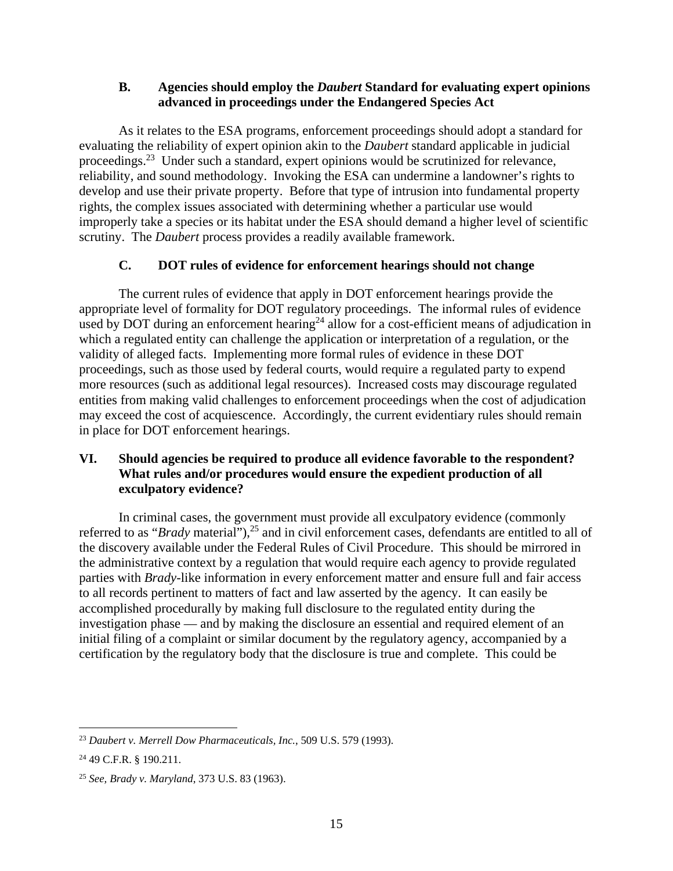### **B. Agencies should employ the** *Daubert* **Standard for evaluating expert opinions advanced in proceedings under the Endangered Species Act**

As it relates to the ESA programs, enforcement proceedings should adopt a standard for evaluating the reliability of expert opinion akin to the *Daubert* standard applicable in judicial proceedings.<sup>23</sup> Under such a standard, expert opinions would be scrutinized for relevance, reliability, and sound methodology. Invoking the ESA can undermine a landowner's rights to develop and use their private property. Before that type of intrusion into fundamental property rights, the complex issues associated with determining whether a particular use would improperly take a species or its habitat under the ESA should demand a higher level of scientific scrutiny. The *Daubert* process provides a readily available framework.

## **C. DOT rules of evidence for enforcement hearings should not change**

The current rules of evidence that apply in DOT enforcement hearings provide the appropriate level of formality for DOT regulatory proceedings. The informal rules of evidence used by DOT during an enforcement hearing<sup>24</sup> allow for a cost-efficient means of adjudication in which a regulated entity can challenge the application or interpretation of a regulation, or the validity of alleged facts. Implementing more formal rules of evidence in these DOT proceedings, such as those used by federal courts, would require a regulated party to expend more resources (such as additional legal resources). Increased costs may discourage regulated entities from making valid challenges to enforcement proceedings when the cost of adjudication may exceed the cost of acquiescence. Accordingly, the current evidentiary rules should remain in place for DOT enforcement hearings.

# **VI. Should agencies be required to produce all evidence favorable to the respondent? What rules and/or procedures would ensure the expedient production of all exculpatory evidence?**

In criminal cases, the government must provide all exculpatory evidence (commonly referred to as "*Brady* material"),<sup>25</sup> and in civil enforcement cases, defendants are entitled to all of the discovery available under the Federal Rules of Civil Procedure. This should be mirrored in the administrative context by a regulation that would require each agency to provide regulated parties with *Brady*-like information in every enforcement matter and ensure full and fair access to all records pertinent to matters of fact and law asserted by the agency. It can easily be accomplished procedurally by making full disclosure to the regulated entity during the investigation phase — and by making the disclosure an essential and required element of an initial filing of a complaint or similar document by the regulatory agency, accompanied by a certification by the regulatory body that the disclosure is true and complete. This could be

 $\overline{a}$ <sup>23</sup> *Daubert v. Merrell Dow Pharmaceuticals, Inc.*, 509 U.S. 579 (1993).

<sup>24 49</sup> C.F.R. § 190.211.

<sup>25</sup> *See, Brady v. Maryland*, 373 U.S. 83 (1963).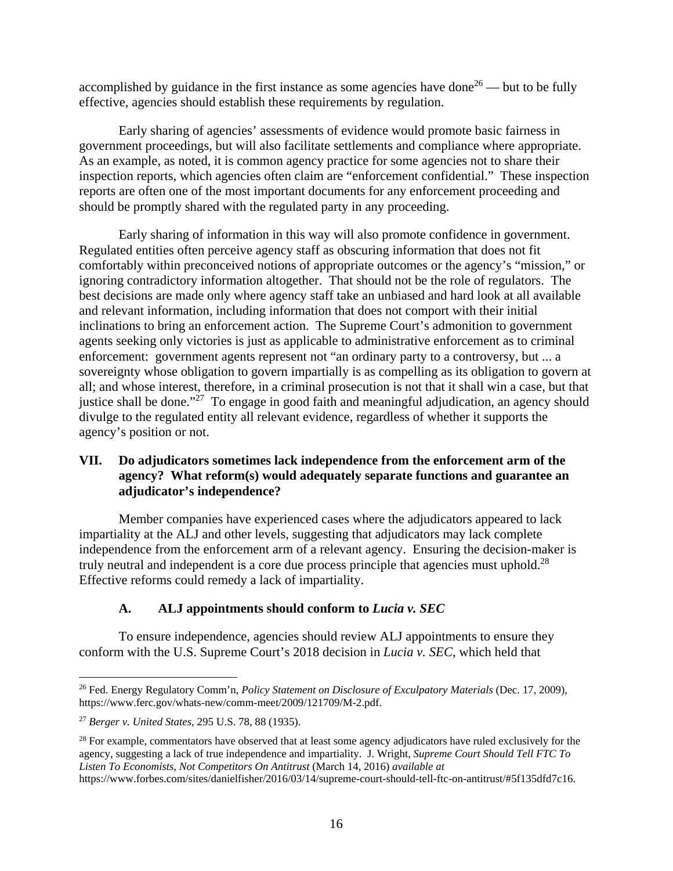accomplished by guidance in the first instance as some agencies have done<sup>26</sup> — but to be fully effective, agencies should establish these requirements by regulation.

Early sharing of agencies' assessments of evidence would promote basic fairness in government proceedings, but will also facilitate settlements and compliance where appropriate. As an example, as noted, it is common agency practice for some agencies not to share their inspection reports, which agencies often claim are "enforcement confidential." These inspection reports are often one of the most important documents for any enforcement proceeding and should be promptly shared with the regulated party in any proceeding.

Early sharing of information in this way will also promote confidence in government. Regulated entities often perceive agency staff as obscuring information that does not fit comfortably within preconceived notions of appropriate outcomes or the agency's "mission," or ignoring contradictory information altogether. That should not be the role of regulators. The best decisions are made only where agency staff take an unbiased and hard look at all available and relevant information, including information that does not comport with their initial inclinations to bring an enforcement action. The Supreme Court's admonition to government agents seeking only victories is just as applicable to administrative enforcement as to criminal enforcement: government agents represent not "an ordinary party to a controversy, but ... a sovereignty whose obligation to govern impartially is as compelling as its obligation to govern at all; and whose interest, therefore, in a criminal prosecution is not that it shall win a case, but that justice shall be done."<sup>27</sup> To engage in good faith and meaningful adjudication, an agency should divulge to the regulated entity all relevant evidence, regardless of whether it supports the agency's position or not.

## **VII. Do adjudicators sometimes lack independence from the enforcement arm of the agency? What reform(s) would adequately separate functions and guarantee an adjudicator's independence?**

Member companies have experienced cases where the adjudicators appeared to lack impartiality at the ALJ and other levels, suggesting that adjudicators may lack complete independence from the enforcement arm of a relevant agency. Ensuring the decision-maker is truly neutral and independent is a core due process principle that agencies must uphold.<sup>28</sup> Effective reforms could remedy a lack of impartiality.

## **A. ALJ appointments should conform to** *Lucia v. SEC*

To ensure independence, agencies should review ALJ appointments to ensure they conform with the U.S. Supreme Court's 2018 decision in *Lucia v. SEC*, which held that

<sup>26</sup> Fed. Energy Regulatory Comm'n, *Policy Statement on Disclosure of Exculpatory Materials* (Dec. 17, 2009), https://www.ferc.gov/whats-new/comm-meet/2009/121709/M-2.pdf.

<sup>27</sup> *Berger v. United States*, 295 U.S. 78, 88 (1935).

<sup>&</sup>lt;sup>28</sup> For example, commentators have observed that at least some agency adjudicators have ruled exclusively for the agency, suggesting a lack of true independence and impartiality. J. Wright, *Supreme Court Should Tell FTC To Listen To Economists, Not Competitors On Antitrust* (March 14, 2016) *available at*  https://www.forbes.com/sites/danielfisher/2016/03/14/supreme-court-should-tell-ftc-on-antitrust/#5f135dfd7c16.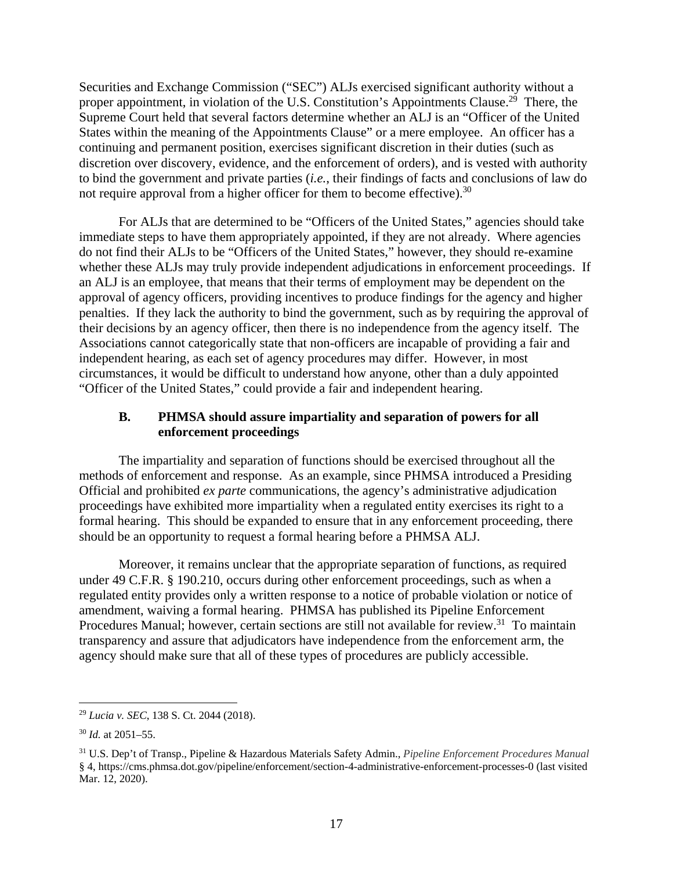Securities and Exchange Commission ("SEC") ALJs exercised significant authority without a proper appointment, in violation of the U.S. Constitution's Appointments Clause.<sup>29</sup> There, the Supreme Court held that several factors determine whether an ALJ is an "Officer of the United States within the meaning of the Appointments Clause" or a mere employee. An officer has a continuing and permanent position, exercises significant discretion in their duties (such as discretion over discovery, evidence, and the enforcement of orders), and is vested with authority to bind the government and private parties (*i.e.*, their findings of facts and conclusions of law do not require approval from a higher officer for them to become effective).<sup>30</sup>

For ALJs that are determined to be "Officers of the United States," agencies should take immediate steps to have them appropriately appointed, if they are not already. Where agencies do not find their ALJs to be "Officers of the United States," however, they should re-examine whether these ALJs may truly provide independent adjudications in enforcement proceedings. If an ALJ is an employee, that means that their terms of employment may be dependent on the approval of agency officers, providing incentives to produce findings for the agency and higher penalties. If they lack the authority to bind the government, such as by requiring the approval of their decisions by an agency officer, then there is no independence from the agency itself. The Associations cannot categorically state that non-officers are incapable of providing a fair and independent hearing, as each set of agency procedures may differ. However, in most circumstances, it would be difficult to understand how anyone, other than a duly appointed "Officer of the United States," could provide a fair and independent hearing.

#### **B. PHMSA should assure impartiality and separation of powers for all enforcement proceedings**

The impartiality and separation of functions should be exercised throughout all the methods of enforcement and response. As an example, since PHMSA introduced a Presiding Official and prohibited *ex parte* communications, the agency's administrative adjudication proceedings have exhibited more impartiality when a regulated entity exercises its right to a formal hearing. This should be expanded to ensure that in any enforcement proceeding, there should be an opportunity to request a formal hearing before a PHMSA ALJ.

Moreover, it remains unclear that the appropriate separation of functions, as required under 49 C.F.R. § 190.210, occurs during other enforcement proceedings, such as when a regulated entity provides only a written response to a notice of probable violation or notice of amendment, waiving a formal hearing. PHMSA has published its Pipeline Enforcement Procedures Manual; however, certain sections are still not available for review.<sup>31</sup> To maintain transparency and assure that adjudicators have independence from the enforcement arm, the agency should make sure that all of these types of procedures are publicly accessible.

<sup>29</sup> *Lucia v. SEC*, 138 S. Ct. 2044 (2018).

<sup>30</sup> *Id.* at 2051–55.

<sup>31</sup> U.S. Dep't of Transp., Pipeline & Hazardous Materials Safety Admin., *Pipeline Enforcement Procedures Manual* § 4, https://cms.phmsa.dot.gov/pipeline/enforcement/section-4-administrative-enforcement-processes-0 (last visited Mar. 12, 2020).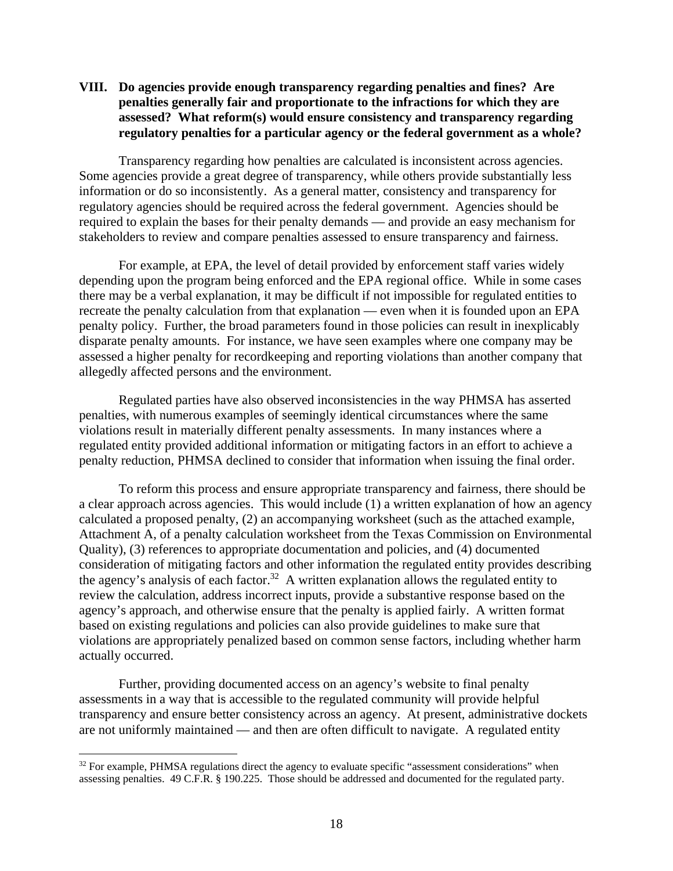#### **VIII. Do agencies provide enough transparency regarding penalties and fines? Are penalties generally fair and proportionate to the infractions for which they are assessed? What reform(s) would ensure consistency and transparency regarding regulatory penalties for a particular agency or the federal government as a whole?**

Transparency regarding how penalties are calculated is inconsistent across agencies. Some agencies provide a great degree of transparency, while others provide substantially less information or do so inconsistently. As a general matter, consistency and transparency for regulatory agencies should be required across the federal government. Agencies should be required to explain the bases for their penalty demands — and provide an easy mechanism for stakeholders to review and compare penalties assessed to ensure transparency and fairness.

For example, at EPA, the level of detail provided by enforcement staff varies widely depending upon the program being enforced and the EPA regional office. While in some cases there may be a verbal explanation, it may be difficult if not impossible for regulated entities to recreate the penalty calculation from that explanation — even when it is founded upon an EPA penalty policy. Further, the broad parameters found in those policies can result in inexplicably disparate penalty amounts. For instance, we have seen examples where one company may be assessed a higher penalty for recordkeeping and reporting violations than another company that allegedly affected persons and the environment.

Regulated parties have also observed inconsistencies in the way PHMSA has asserted penalties, with numerous examples of seemingly identical circumstances where the same violations result in materially different penalty assessments. In many instances where a regulated entity provided additional information or mitigating factors in an effort to achieve a penalty reduction, PHMSA declined to consider that information when issuing the final order.

To reform this process and ensure appropriate transparency and fairness, there should be a clear approach across agencies. This would include (1) a written explanation of how an agency calculated a proposed penalty, (2) an accompanying worksheet (such as the attached example, Attachment A, of a penalty calculation worksheet from the Texas Commission on Environmental Quality), (3) references to appropriate documentation and policies, and (4) documented consideration of mitigating factors and other information the regulated entity provides describing the agency's analysis of each factor.<sup>32</sup> A written explanation allows the regulated entity to review the calculation, address incorrect inputs, provide a substantive response based on the agency's approach, and otherwise ensure that the penalty is applied fairly. A written format based on existing regulations and policies can also provide guidelines to make sure that violations are appropriately penalized based on common sense factors, including whether harm actually occurred.

Further, providing documented access on an agency's website to final penalty assessments in a way that is accessible to the regulated community will provide helpful transparency and ensure better consistency across an agency. At present, administrative dockets are not uniformly maintained — and then are often difficult to navigate. A regulated entity

<sup>&</sup>lt;sup>32</sup> For example, PHMSA regulations direct the agency to evaluate specific "assessment considerations" when assessing penalties. 49 C.F.R. § 190.225. Those should be addressed and documented for the regulated party.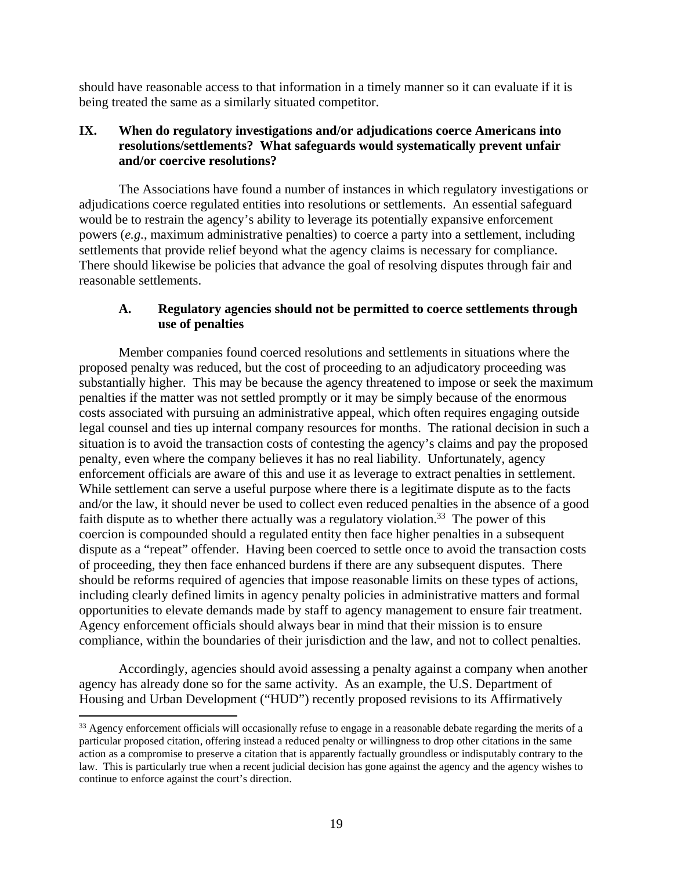should have reasonable access to that information in a timely manner so it can evaluate if it is being treated the same as a similarly situated competitor.

## **IX. When do regulatory investigations and/or adjudications coerce Americans into resolutions/settlements? What safeguards would systematically prevent unfair and/or coercive resolutions?**

The Associations have found a number of instances in which regulatory investigations or adjudications coerce regulated entities into resolutions or settlements. An essential safeguard would be to restrain the agency's ability to leverage its potentially expansive enforcement powers (*e.g.*, maximum administrative penalties) to coerce a party into a settlement, including settlements that provide relief beyond what the agency claims is necessary for compliance. There should likewise be policies that advance the goal of resolving disputes through fair and reasonable settlements.

#### **A. Regulatory agencies should not be permitted to coerce settlements through use of penalties**

Member companies found coerced resolutions and settlements in situations where the proposed penalty was reduced, but the cost of proceeding to an adjudicatory proceeding was substantially higher. This may be because the agency threatened to impose or seek the maximum penalties if the matter was not settled promptly or it may be simply because of the enormous costs associated with pursuing an administrative appeal, which often requires engaging outside legal counsel and ties up internal company resources for months. The rational decision in such a situation is to avoid the transaction costs of contesting the agency's claims and pay the proposed penalty, even where the company believes it has no real liability. Unfortunately, agency enforcement officials are aware of this and use it as leverage to extract penalties in settlement. While settlement can serve a useful purpose where there is a legitimate dispute as to the facts and/or the law, it should never be used to collect even reduced penalties in the absence of a good faith dispute as to whether there actually was a regulatory violation.<sup>33</sup> The power of this coercion is compounded should a regulated entity then face higher penalties in a subsequent dispute as a "repeat" offender. Having been coerced to settle once to avoid the transaction costs of proceeding, they then face enhanced burdens if there are any subsequent disputes. There should be reforms required of agencies that impose reasonable limits on these types of actions, including clearly defined limits in agency penalty policies in administrative matters and formal opportunities to elevate demands made by staff to agency management to ensure fair treatment. Agency enforcement officials should always bear in mind that their mission is to ensure compliance, within the boundaries of their jurisdiction and the law, and not to collect penalties.

Accordingly, agencies should avoid assessing a penalty against a company when another agency has already done so for the same activity. As an example, the U.S. Department of Housing and Urban Development ("HUD") recently proposed revisions to its Affirmatively

<sup>&</sup>lt;sup>33</sup> Agency enforcement officials will occasionally refuse to engage in a reasonable debate regarding the merits of a particular proposed citation, offering instead a reduced penalty or willingness to drop other citations in the same action as a compromise to preserve a citation that is apparently factually groundless or indisputably contrary to the law. This is particularly true when a recent judicial decision has gone against the agency and the agency wishes to continue to enforce against the court's direction.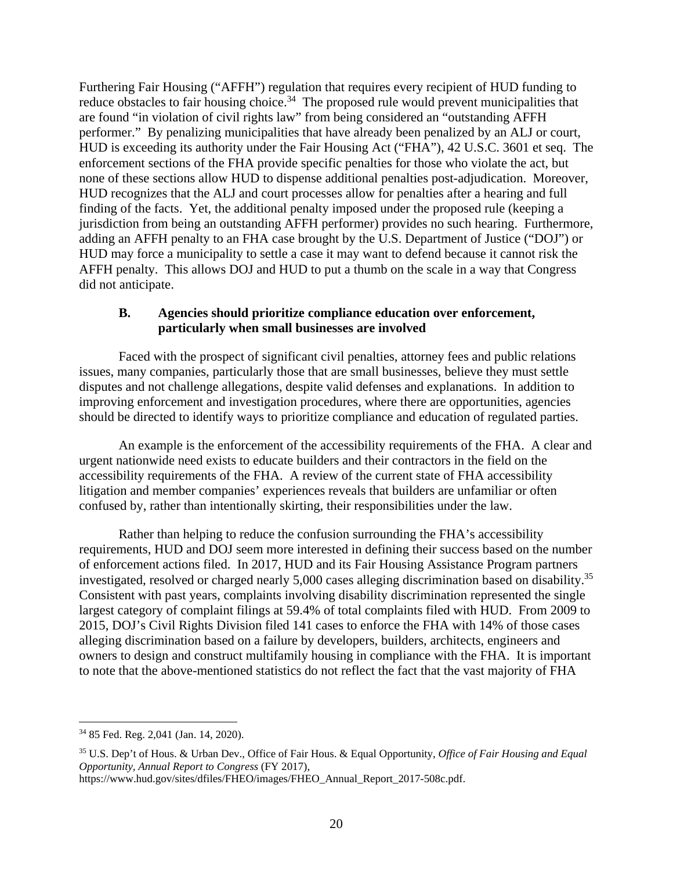Furthering Fair Housing ("AFFH") regulation that requires every recipient of HUD funding to reduce obstacles to fair housing choice.<sup>34</sup> The proposed rule would prevent municipalities that are found "in violation of civil rights law" from being considered an "outstanding AFFH performer." By penalizing municipalities that have already been penalized by an ALJ or court, HUD is exceeding its authority under the Fair Housing Act ("FHA"), 42 U.S.C. 3601 et seq. The enforcement sections of the FHA provide specific penalties for those who violate the act, but none of these sections allow HUD to dispense additional penalties post-adjudication. Moreover, HUD recognizes that the ALJ and court processes allow for penalties after a hearing and full finding of the facts. Yet, the additional penalty imposed under the proposed rule (keeping a jurisdiction from being an outstanding AFFH performer) provides no such hearing. Furthermore, adding an AFFH penalty to an FHA case brought by the U.S. Department of Justice ("DOJ") or HUD may force a municipality to settle a case it may want to defend because it cannot risk the AFFH penalty. This allows DOJ and HUD to put a thumb on the scale in a way that Congress did not anticipate.

#### **B. Agencies should prioritize compliance education over enforcement, particularly when small businesses are involved**

Faced with the prospect of significant civil penalties, attorney fees and public relations issues, many companies, particularly those that are small businesses, believe they must settle disputes and not challenge allegations, despite valid defenses and explanations. In addition to improving enforcement and investigation procedures, where there are opportunities, agencies should be directed to identify ways to prioritize compliance and education of regulated parties.

An example is the enforcement of the accessibility requirements of the FHA. A clear and urgent nationwide need exists to educate builders and their contractors in the field on the accessibility requirements of the FHA. A review of the current state of FHA accessibility litigation and member companies' experiences reveals that builders are unfamiliar or often confused by, rather than intentionally skirting, their responsibilities under the law.

Rather than helping to reduce the confusion surrounding the FHA's accessibility requirements, HUD and DOJ seem more interested in defining their success based on the number of enforcement actions filed. In 2017, HUD and its Fair Housing Assistance Program partners investigated, resolved or charged nearly 5,000 cases alleging discrimination based on disability.<sup>35</sup> Consistent with past years, complaints involving disability discrimination represented the single largest category of complaint filings at 59.4% of total complaints filed with HUD. From 2009 to 2015, DOJ's Civil Rights Division filed 141 cases to enforce the FHA with 14% of those cases alleging discrimination based on a failure by developers, builders, architects, engineers and owners to design and construct multifamily housing in compliance with the FHA. It is important to note that the above-mentioned statistics do not reflect the fact that the vast majority of FHA

<sup>34 85</sup> Fed. Reg. 2,041 (Jan. 14, 2020).

<sup>35</sup> U.S. Dep't of Hous. & Urban Dev., Office of Fair Hous. & Equal Opportunity, *Office of Fair Housing and Equal Opportunity, Annual Report to Congress* (FY 2017),

https://www.hud.gov/sites/dfiles/FHEO/images/FHEO\_Annual\_Report\_2017-508c.pdf.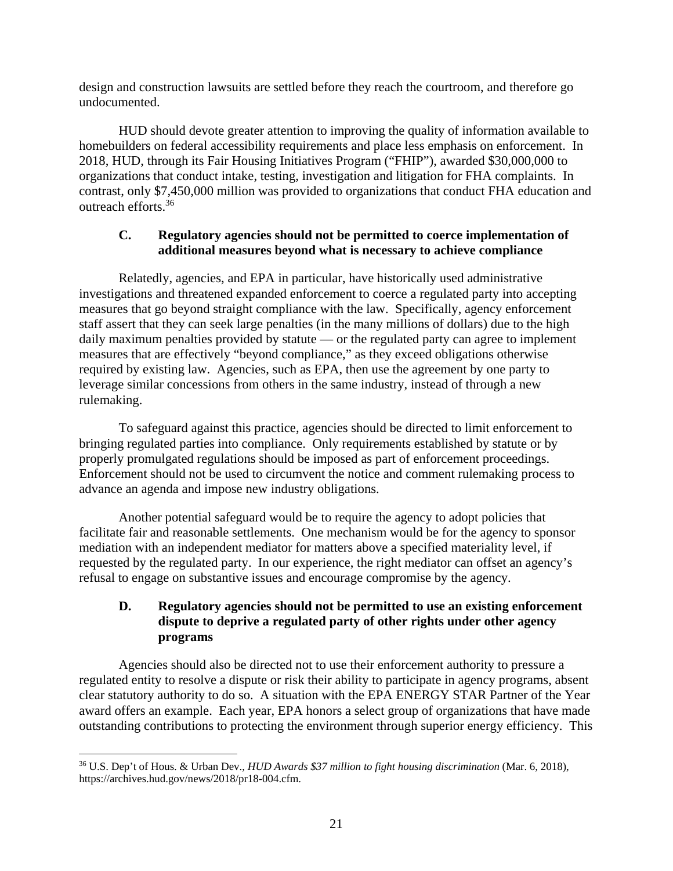design and construction lawsuits are settled before they reach the courtroom, and therefore go undocumented.

HUD should devote greater attention to improving the quality of information available to homebuilders on federal accessibility requirements and place less emphasis on enforcement. In 2018, HUD, through its Fair Housing Initiatives Program ("FHIP"), awarded \$30,000,000 to organizations that conduct intake, testing, investigation and litigation for FHA complaints. In contrast, only \$7,450,000 million was provided to organizations that conduct FHA education and outreach efforts.36

## **C. Regulatory agencies should not be permitted to coerce implementation of additional measures beyond what is necessary to achieve compliance**

Relatedly, agencies, and EPA in particular, have historically used administrative investigations and threatened expanded enforcement to coerce a regulated party into accepting measures that go beyond straight compliance with the law. Specifically, agency enforcement staff assert that they can seek large penalties (in the many millions of dollars) due to the high daily maximum penalties provided by statute — or the regulated party can agree to implement measures that are effectively "beyond compliance," as they exceed obligations otherwise required by existing law. Agencies, such as EPA, then use the agreement by one party to leverage similar concessions from others in the same industry, instead of through a new rulemaking.

To safeguard against this practice, agencies should be directed to limit enforcement to bringing regulated parties into compliance. Only requirements established by statute or by properly promulgated regulations should be imposed as part of enforcement proceedings. Enforcement should not be used to circumvent the notice and comment rulemaking process to advance an agenda and impose new industry obligations.

Another potential safeguard would be to require the agency to adopt policies that facilitate fair and reasonable settlements. One mechanism would be for the agency to sponsor mediation with an independent mediator for matters above a specified materiality level, if requested by the regulated party. In our experience, the right mediator can offset an agency's refusal to engage on substantive issues and encourage compromise by the agency.

# **D. Regulatory agencies should not be permitted to use an existing enforcement dispute to deprive a regulated party of other rights under other agency programs**

Agencies should also be directed not to use their enforcement authority to pressure a regulated entity to resolve a dispute or risk their ability to participate in agency programs, absent clear statutory authority to do so. A situation with the EPA ENERGY STAR Partner of the Year award offers an example. Each year, EPA honors a select group of organizations that have made outstanding contributions to protecting the environment through superior energy efficiency. This

<sup>36</sup> U.S. Dep't of Hous. & Urban Dev., *HUD Awards \$37 million to fight housing discrimination* (Mar. 6, 2018), https://archives.hud.gov/news/2018/pr18-004.cfm.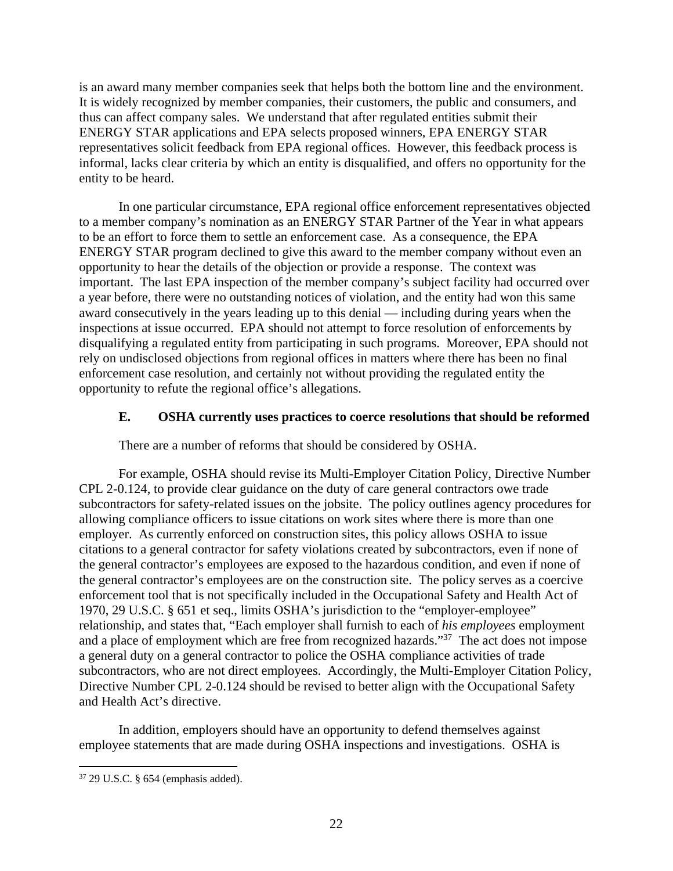is an award many member companies seek that helps both the bottom line and the environment. It is widely recognized by member companies, their customers, the public and consumers, and thus can affect company sales. We understand that after regulated entities submit their ENERGY STAR applications and EPA selects proposed winners, EPA ENERGY STAR representatives solicit feedback from EPA regional offices. However, this feedback process is informal, lacks clear criteria by which an entity is disqualified, and offers no opportunity for the entity to be heard.

In one particular circumstance, EPA regional office enforcement representatives objected to a member company's nomination as an ENERGY STAR Partner of the Year in what appears to be an effort to force them to settle an enforcement case. As a consequence, the EPA ENERGY STAR program declined to give this award to the member company without even an opportunity to hear the details of the objection or provide a response. The context was important. The last EPA inspection of the member company's subject facility had occurred over a year before, there were no outstanding notices of violation, and the entity had won this same award consecutively in the years leading up to this denial — including during years when the inspections at issue occurred. EPA should not attempt to force resolution of enforcements by disqualifying a regulated entity from participating in such programs. Moreover, EPA should not rely on undisclosed objections from regional offices in matters where there has been no final enforcement case resolution, and certainly not without providing the regulated entity the opportunity to refute the regional office's allegations.

#### **E. OSHA currently uses practices to coerce resolutions that should be reformed**

There are a number of reforms that should be considered by OSHA.

For example, OSHA should revise its Multi-Employer Citation Policy, Directive Number CPL 2-0.124, to provide clear guidance on the duty of care general contractors owe trade subcontractors for safety-related issues on the jobsite. The policy outlines agency procedures for allowing compliance officers to issue citations on work sites where there is more than one employer. As currently enforced on construction sites, this policy allows OSHA to issue citations to a general contractor for safety violations created by subcontractors, even if none of the general contractor's employees are exposed to the hazardous condition, and even if none of the general contractor's employees are on the construction site. The policy serves as a coercive enforcement tool that is not specifically included in the Occupational Safety and Health Act of 1970, 29 U.S.C. § 651 et seq., limits OSHA's jurisdiction to the "employer-employee" relationship, and states that, "Each employer shall furnish to each of *his employees* employment and a place of employment which are free from recognized hazards."37 The act does not impose a general duty on a general contractor to police the OSHA compliance activities of trade subcontractors, who are not direct employees. Accordingly, the Multi-Employer Citation Policy, Directive Number CPL 2-0.124 should be revised to better align with the Occupational Safety and Health Act's directive.

In addition, employers should have an opportunity to defend themselves against employee statements that are made during OSHA inspections and investigations. OSHA is

<sup>37 29</sup> U.S.C. § 654 (emphasis added).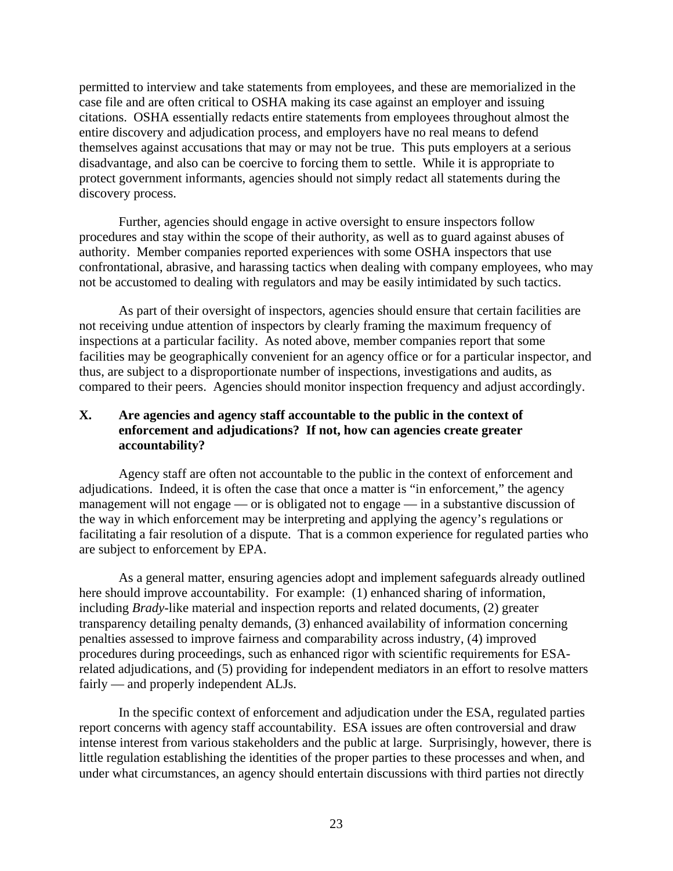permitted to interview and take statements from employees, and these are memorialized in the case file and are often critical to OSHA making its case against an employer and issuing citations. OSHA essentially redacts entire statements from employees throughout almost the entire discovery and adjudication process, and employers have no real means to defend themselves against accusations that may or may not be true. This puts employers at a serious disadvantage, and also can be coercive to forcing them to settle. While it is appropriate to protect government informants, agencies should not simply redact all statements during the discovery process.

Further, agencies should engage in active oversight to ensure inspectors follow procedures and stay within the scope of their authority, as well as to guard against abuses of authority. Member companies reported experiences with some OSHA inspectors that use confrontational, abrasive, and harassing tactics when dealing with company employees, who may not be accustomed to dealing with regulators and may be easily intimidated by such tactics.

As part of their oversight of inspectors, agencies should ensure that certain facilities are not receiving undue attention of inspectors by clearly framing the maximum frequency of inspections at a particular facility. As noted above, member companies report that some facilities may be geographically convenient for an agency office or for a particular inspector, and thus, are subject to a disproportionate number of inspections, investigations and audits, as compared to their peers. Agencies should monitor inspection frequency and adjust accordingly.

### **X. Are agencies and agency staff accountable to the public in the context of enforcement and adjudications? If not, how can agencies create greater accountability?**

Agency staff are often not accountable to the public in the context of enforcement and adjudications. Indeed, it is often the case that once a matter is "in enforcement," the agency management will not engage — or is obligated not to engage — in a substantive discussion of the way in which enforcement may be interpreting and applying the agency's regulations or facilitating a fair resolution of a dispute. That is a common experience for regulated parties who are subject to enforcement by EPA.

As a general matter, ensuring agencies adopt and implement safeguards already outlined here should improve accountability. For example: (1) enhanced sharing of information, including *Brady*-like material and inspection reports and related documents, (2) greater transparency detailing penalty demands, (3) enhanced availability of information concerning penalties assessed to improve fairness and comparability across industry, (4) improved procedures during proceedings, such as enhanced rigor with scientific requirements for ESArelated adjudications, and (5) providing for independent mediators in an effort to resolve matters fairly — and properly independent ALJs.

In the specific context of enforcement and adjudication under the ESA, regulated parties report concerns with agency staff accountability. ESA issues are often controversial and draw intense interest from various stakeholders and the public at large. Surprisingly, however, there is little regulation establishing the identities of the proper parties to these processes and when, and under what circumstances, an agency should entertain discussions with third parties not directly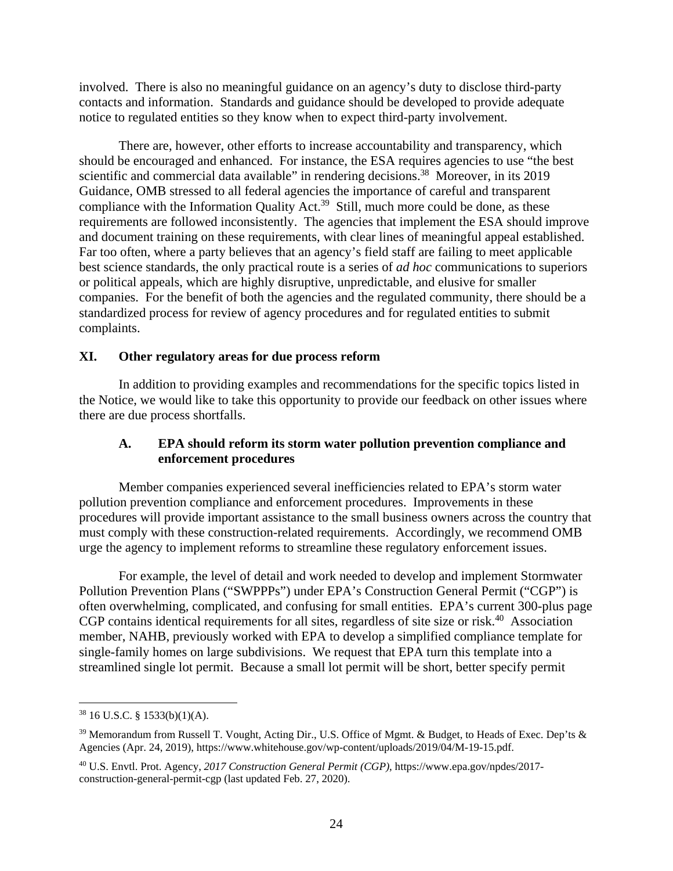involved. There is also no meaningful guidance on an agency's duty to disclose third-party contacts and information. Standards and guidance should be developed to provide adequate notice to regulated entities so they know when to expect third-party involvement.

There are, however, other efforts to increase accountability and transparency, which should be encouraged and enhanced. For instance, the ESA requires agencies to use "the best scientific and commercial data available" in rendering decisions.<sup>38</sup> Moreover, in its 2019 Guidance, OMB stressed to all federal agencies the importance of careful and transparent compliance with the Information Quality Act.<sup>39</sup> Still, much more could be done, as these requirements are followed inconsistently. The agencies that implement the ESA should improve and document training on these requirements, with clear lines of meaningful appeal established. Far too often, where a party believes that an agency's field staff are failing to meet applicable best science standards, the only practical route is a series of *ad hoc* communications to superiors or political appeals, which are highly disruptive, unpredictable, and elusive for smaller companies. For the benefit of both the agencies and the regulated community, there should be a standardized process for review of agency procedures and for regulated entities to submit complaints.

#### **XI. Other regulatory areas for due process reform**

In addition to providing examples and recommendations for the specific topics listed in the Notice, we would like to take this opportunity to provide our feedback on other issues where there are due process shortfalls.

#### **A. EPA should reform its storm water pollution prevention compliance and enforcement procedures**

Member companies experienced several inefficiencies related to EPA's storm water pollution prevention compliance and enforcement procedures. Improvements in these procedures will provide important assistance to the small business owners across the country that must comply with these construction-related requirements. Accordingly, we recommend OMB urge the agency to implement reforms to streamline these regulatory enforcement issues.

For example, the level of detail and work needed to develop and implement Stormwater Pollution Prevention Plans ("SWPPPs") under EPA's Construction General Permit ("CGP") is often overwhelming, complicated, and confusing for small entities. EPA's current 300-plus page CGP contains identical requirements for all sites, regardless of site size or risk.<sup>40</sup> Association member, NAHB, previously worked with EPA to develop a simplified compliance template for single-family homes on large subdivisions. We request that EPA turn this template into a streamlined single lot permit. Because a small lot permit will be short, better specify permit

<sup>38 16</sup> U.S.C. § 1533(b)(1)(A).

<sup>39</sup> Memorandum from Russell T. Vought, Acting Dir., U.S. Office of Mgmt. & Budget, to Heads of Exec. Dep'ts & Agencies (Apr. 24, 2019), https://www.whitehouse.gov/wp-content/uploads/2019/04/M-19-15.pdf.

<sup>40</sup> U.S. Envtl. Prot. Agency, *2017 Construction General Permit (CGP)*, https://www.epa.gov/npdes/2017 construction-general-permit-cgp (last updated Feb. 27, 2020).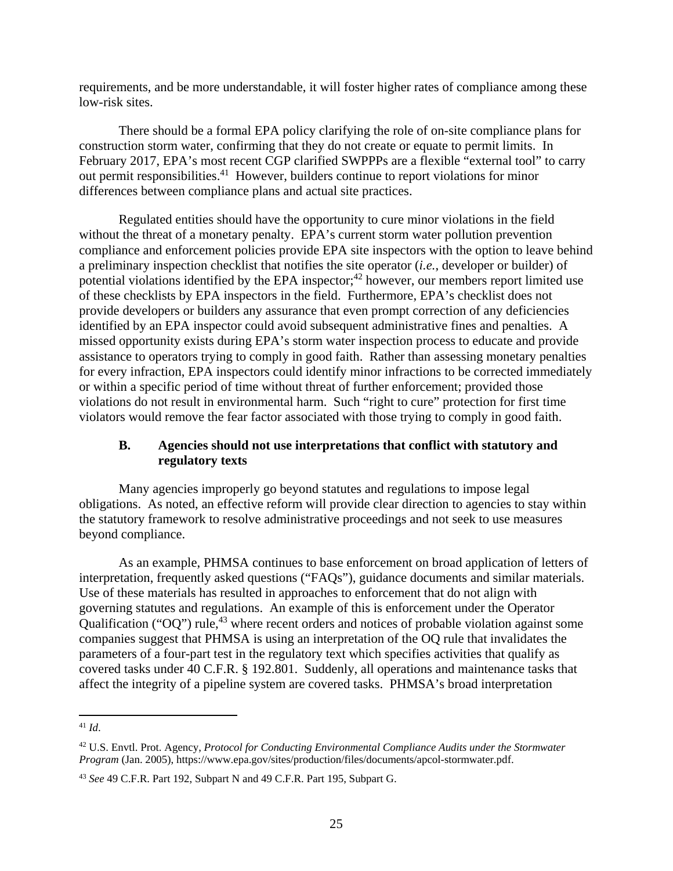requirements, and be more understandable, it will foster higher rates of compliance among these low-risk sites.

There should be a formal EPA policy clarifying the role of on-site compliance plans for construction storm water, confirming that they do not create or equate to permit limits. In February 2017, EPA's most recent CGP clarified SWPPPs are a flexible "external tool" to carry out permit responsibilities.41 However, builders continue to report violations for minor differences between compliance plans and actual site practices.

Regulated entities should have the opportunity to cure minor violations in the field without the threat of a monetary penalty. EPA's current storm water pollution prevention compliance and enforcement policies provide EPA site inspectors with the option to leave behind a preliminary inspection checklist that notifies the site operator (*i.e.*, developer or builder) of potential violations identified by the EPA inspector;<sup>42</sup> however, our members report limited use of these checklists by EPA inspectors in the field. Furthermore, EPA's checklist does not provide developers or builders any assurance that even prompt correction of any deficiencies identified by an EPA inspector could avoid subsequent administrative fines and penalties. A missed opportunity exists during EPA's storm water inspection process to educate and provide assistance to operators trying to comply in good faith. Rather than assessing monetary penalties for every infraction, EPA inspectors could identify minor infractions to be corrected immediately or within a specific period of time without threat of further enforcement; provided those violations do not result in environmental harm. Such "right to cure" protection for first time violators would remove the fear factor associated with those trying to comply in good faith.

## **B. Agencies should not use interpretations that conflict with statutory and regulatory texts**

Many agencies improperly go beyond statutes and regulations to impose legal obligations. As noted, an effective reform will provide clear direction to agencies to stay within the statutory framework to resolve administrative proceedings and not seek to use measures beyond compliance.

As an example, PHMSA continues to base enforcement on broad application of letters of interpretation, frequently asked questions ("FAQs"), guidance documents and similar materials. Use of these materials has resulted in approaches to enforcement that do not align with governing statutes and regulations. An example of this is enforcement under the Operator Qualification (" $OQ$ ") rule,<sup>43</sup> where recent orders and notices of probable violation against some companies suggest that PHMSA is using an interpretation of the OQ rule that invalidates the parameters of a four-part test in the regulatory text which specifies activities that qualify as covered tasks under 40 C.F.R. § 192.801. Suddenly, all operations and maintenance tasks that affect the integrity of a pipeline system are covered tasks. PHMSA's broad interpretation

 $\overline{a}$ <sup>41</sup> *Id*.

<sup>42</sup> U.S. Envtl. Prot. Agency, *Protocol for Conducting Environmental Compliance Audits under the Stormwater Program* (Jan. 2005), https://www.epa.gov/sites/production/files/documents/apcol-stormwater.pdf.

<sup>43</sup> *See* 49 C.F.R. Part 192, Subpart N and 49 C.F.R. Part 195, Subpart G.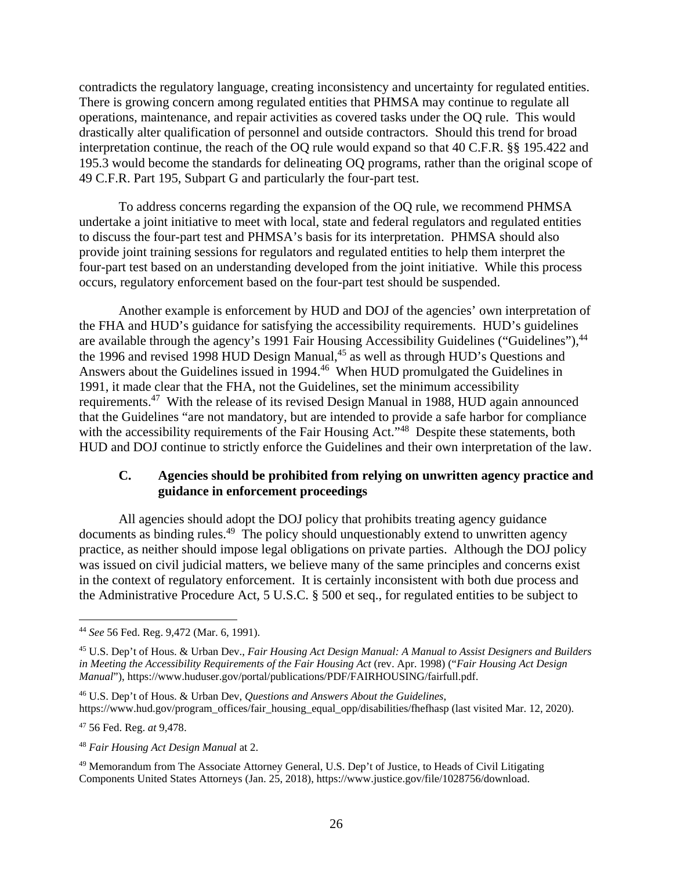contradicts the regulatory language, creating inconsistency and uncertainty for regulated entities. There is growing concern among regulated entities that PHMSA may continue to regulate all operations, maintenance, and repair activities as covered tasks under the OQ rule. This would drastically alter qualification of personnel and outside contractors. Should this trend for broad interpretation continue, the reach of the OQ rule would expand so that 40 C.F.R. §§ 195.422 and 195.3 would become the standards for delineating OQ programs, rather than the original scope of 49 C.F.R. Part 195, Subpart G and particularly the four-part test.

To address concerns regarding the expansion of the OQ rule, we recommend PHMSA undertake a joint initiative to meet with local, state and federal regulators and regulated entities to discuss the four-part test and PHMSA's basis for its interpretation. PHMSA should also provide joint training sessions for regulators and regulated entities to help them interpret the four-part test based on an understanding developed from the joint initiative. While this process occurs, regulatory enforcement based on the four-part test should be suspended.

Another example is enforcement by HUD and DOJ of the agencies' own interpretation of the FHA and HUD's guidance for satisfying the accessibility requirements. HUD's guidelines are available through the agency's 1991 Fair Housing Accessibility Guidelines ("Guidelines"), <sup>44</sup> the 1996 and revised 1998 HUD Design Manual,<sup>45</sup> as well as through HUD's Questions and Answers about the Guidelines issued in 1994.46 When HUD promulgated the Guidelines in 1991, it made clear that the FHA, not the Guidelines, set the minimum accessibility requirements.47 With the release of its revised Design Manual in 1988, HUD again announced that the Guidelines "are not mandatory, but are intended to provide a safe harbor for compliance with the accessibility requirements of the Fair Housing Act.<sup>748</sup> Despite these statements, both HUD and DOJ continue to strictly enforce the Guidelines and their own interpretation of the law.

### **C. Agencies should be prohibited from relying on unwritten agency practice and guidance in enforcement proceedings**

All agencies should adopt the DOJ policy that prohibits treating agency guidance documents as binding rules.49 The policy should unquestionably extend to unwritten agency practice, as neither should impose legal obligations on private parties. Although the DOJ policy was issued on civil judicial matters, we believe many of the same principles and concerns exist in the context of regulatory enforcement. It is certainly inconsistent with both due process and the Administrative Procedure Act, 5 U.S.C. § 500 et seq., for regulated entities to be subject to

46 U.S. Dep't of Hous. & Urban Dev, *Questions and Answers About the Guidelines*, https://www.hud.gov/program\_offices/fair\_housing\_equal\_opp/disabilities/fhefhasp (last visited Mar. 12, 2020).

47 56 Fed. Reg. *at* 9,478.

<sup>44</sup> *See* 56 Fed. Reg. 9,472 (Mar. 6, 1991).

<sup>45</sup> U.S. Dep't of Hous. & Urban Dev., *Fair Housing Act Design Manual: A Manual to Assist Designers and Builders in Meeting the Accessibility Requirements of the Fair Housing Act* (rev. Apr. 1998) ("*Fair Housing Act Design Manual*"), https://www.huduser.gov/portal/publications/PDF/FAIRHOUSING/fairfull.pdf.

<sup>48</sup> *Fair Housing Act Design Manual* at 2.

<sup>49</sup> Memorandum from The Associate Attorney General, U.S. Dep't of Justice, to Heads of Civil Litigating Components United States Attorneys (Jan. 25, 2018), https://www.justice.gov/file/1028756/download.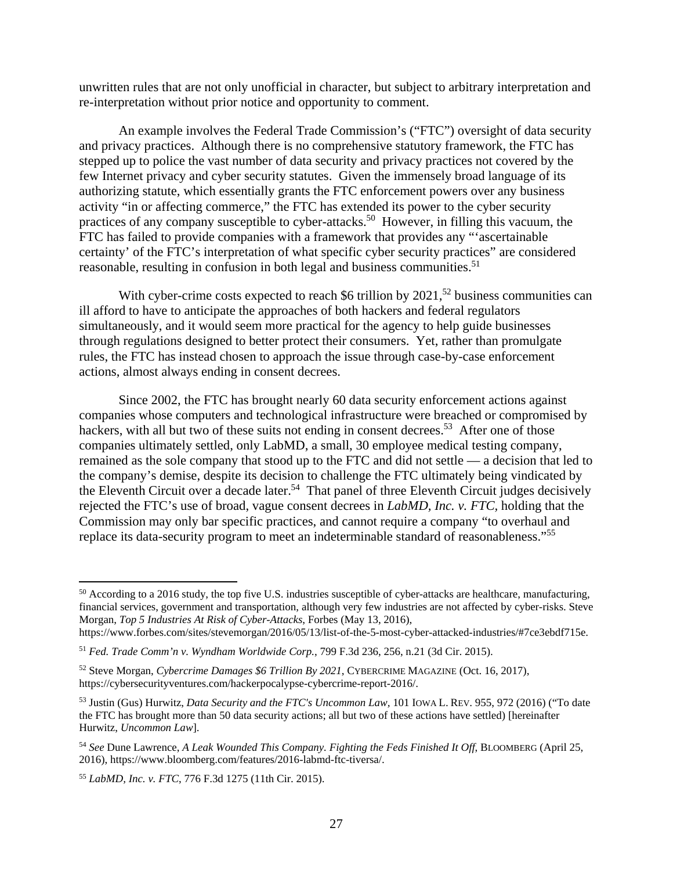unwritten rules that are not only unofficial in character, but subject to arbitrary interpretation and re-interpretation without prior notice and opportunity to comment.

An example involves the Federal Trade Commission's ("FTC") oversight of data security and privacy practices. Although there is no comprehensive statutory framework, the FTC has stepped up to police the vast number of data security and privacy practices not covered by the few Internet privacy and cyber security statutes. Given the immensely broad language of its authorizing statute, which essentially grants the FTC enforcement powers over any business activity "in or affecting commerce," the FTC has extended its power to the cyber security practices of any company susceptible to cyber-attacks.<sup>50</sup> However, in filling this vacuum, the FTC has failed to provide companies with a framework that provides any "'ascertainable certainty' of the FTC's interpretation of what specific cyber security practices" are considered reasonable, resulting in confusion in both legal and business communities.<sup>51</sup>

With cyber-crime costs expected to reach \$6 trillion by  $2021$ ,<sup>52</sup> business communities can ill afford to have to anticipate the approaches of both hackers and federal regulators simultaneously, and it would seem more practical for the agency to help guide businesses through regulations designed to better protect their consumers. Yet, rather than promulgate rules, the FTC has instead chosen to approach the issue through case-by-case enforcement actions, almost always ending in consent decrees.

Since 2002, the FTC has brought nearly 60 data security enforcement actions against companies whose computers and technological infrastructure were breached or compromised by hackers, with all but two of these suits not ending in consent decrees.<sup>53</sup> After one of those companies ultimately settled, only LabMD, a small, 30 employee medical testing company, remained as the sole company that stood up to the FTC and did not settle — a decision that led to the company's demise, despite its decision to challenge the FTC ultimately being vindicated by the Eleventh Circuit over a decade later.<sup>54</sup> That panel of three Eleventh Circuit judges decisively rejected the FTC's use of broad, vague consent decrees in *LabMD, Inc. v. FTC,* holding that the Commission may only bar specific practices, and cannot require a company "to overhaul and replace its data-security program to meet an indeterminable standard of reasonableness."55

<sup>&</sup>lt;sup>50</sup> According to a 2016 study, the top five U.S. industries susceptible of cyber-attacks are healthcare, manufacturing, financial services, government and transportation, although very few industries are not affected by cyber-risks. Steve Morgan, *Top 5 Industries At Risk of Cyber-Attacks*, Forbes (May 13, 2016),

https://www.forbes.com/sites/stevemorgan/2016/05/13/list-of-the-5-most-cyber-attacked-industries/#7ce3ebdf715e.

<sup>51</sup> *Fed. Trade Comm'n v. Wyndham Worldwide Corp.*, 799 F.3d 236, 256, n.21 (3d Cir. 2015).

<sup>52</sup> Steve Morgan, *Cybercrime Damages \$6 Trillion By 2021*, CYBERCRIME MAGAZINE (Oct. 16, 2017), https://cybersecurityventures.com/hackerpocalypse-cybercrime-report-2016/.

<sup>53</sup> Justin (Gus) Hurwitz, *Data Security and the FTC's Uncommon Law,* 101 IOWA L. REV. 955, 972 (2016) ("To date the FTC has brought more than 50 data security actions; all but two of these actions have settled) [hereinafter Hurwitz, *Uncommon Law*].

<sup>54</sup> *See* Dune Lawrence, *A Leak Wounded This Company. Fighting the Feds Finished It Off*, BLOOMBERG (April 25, 2016), https://www.bloomberg.com/features/2016-labmd-ftc-tiversa/.

<sup>55</sup> *LabMD, Inc. v. FTC*, 776 F.3d 1275 (11th Cir. 2015).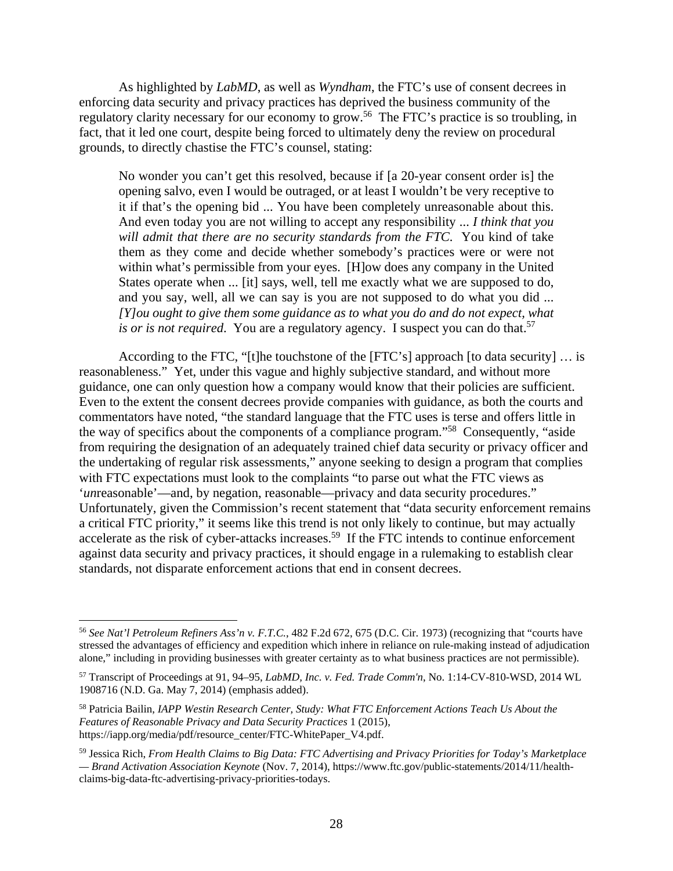As highlighted by *LabMD*, as well as *Wyndham*, the FTC's use of consent decrees in enforcing data security and privacy practices has deprived the business community of the regulatory clarity necessary for our economy to grow.<sup>56</sup> The FTC's practice is so troubling, in fact, that it led one court, despite being forced to ultimately deny the review on procedural grounds, to directly chastise the FTC's counsel, stating:

No wonder you can't get this resolved, because if [a 20-year consent order is] the opening salvo, even I would be outraged, or at least I wouldn't be very receptive to it if that's the opening bid ... You have been completely unreasonable about this. And even today you are not willing to accept any responsibility ... *I think that you will admit that there are no security standards from the FTC*. You kind of take them as they come and decide whether somebody's practices were or were not within what's permissible from your eyes. [H]ow does any company in the United States operate when ... [it] says, well, tell me exactly what we are supposed to do, and you say, well, all we can say is you are not supposed to do what you did ... *[Y]ou ought to give them some guidance as to what you do and do not expect, what is or is not required.* You are a regulatory agency. I suspect you can do that.<sup>57</sup>

According to the FTC, "[t]he touchstone of the [FTC's] approach [to data security] … is reasonableness." Yet, under this vague and highly subjective standard, and without more guidance, one can only question how a company would know that their policies are sufficient. Even to the extent the consent decrees provide companies with guidance, as both the courts and commentators have noted, "the standard language that the FTC uses is terse and offers little in the way of specifics about the components of a compliance program."58 Consequently, "aside from requiring the designation of an adequately trained chief data security or privacy officer and the undertaking of regular risk assessments," anyone seeking to design a program that complies with FTC expectations must look to the complaints "to parse out what the FTC views as '*un*reasonable'—and, by negation, reasonable—privacy and data security procedures." Unfortunately, given the Commission's recent statement that "data security enforcement remains a critical FTC priority," it seems like this trend is not only likely to continue, but may actually accelerate as the risk of cyber-attacks increases.59 If the FTC intends to continue enforcement against data security and privacy practices, it should engage in a rulemaking to establish clear standards, not disparate enforcement actions that end in consent decrees.

<sup>56</sup> *See Nat'l Petroleum Refiners Ass'n v. F.T.C.*, 482 F.2d 672, 675 (D.C. Cir. 1973) (recognizing that "courts have stressed the advantages of efficiency and expedition which inhere in reliance on rule-making instead of adjudication alone," including in providing businesses with greater certainty as to what business practices are not permissible).

<sup>57</sup> Transcript of Proceedings at 91, 94–95, *LabMD, Inc. v. Fed. Trade Comm'n*, No. 1:14-CV-810-WSD, 2014 WL 1908716 (N.D. Ga. May 7, 2014) (emphasis added).

<sup>58</sup> Patricia Bailin, *IAPP Westin Research Center, Study: What FTC Enforcement Actions Teach Us About the Features of Reasonable Privacy and Data Security Practices* 1 (2015), https://iapp.org/media/pdf/resource\_center/FTC-WhitePaper\_V4.pdf.

<sup>59</sup> Jessica Rich, *From Health Claims to Big Data: FTC Advertising and Privacy Priorities for Today's Marketplace — Brand Activation Association Keynote* (Nov. 7, 2014), https://www.ftc.gov/public-statements/2014/11/healthclaims-big-data-ftc-advertising-privacy-priorities-todays.